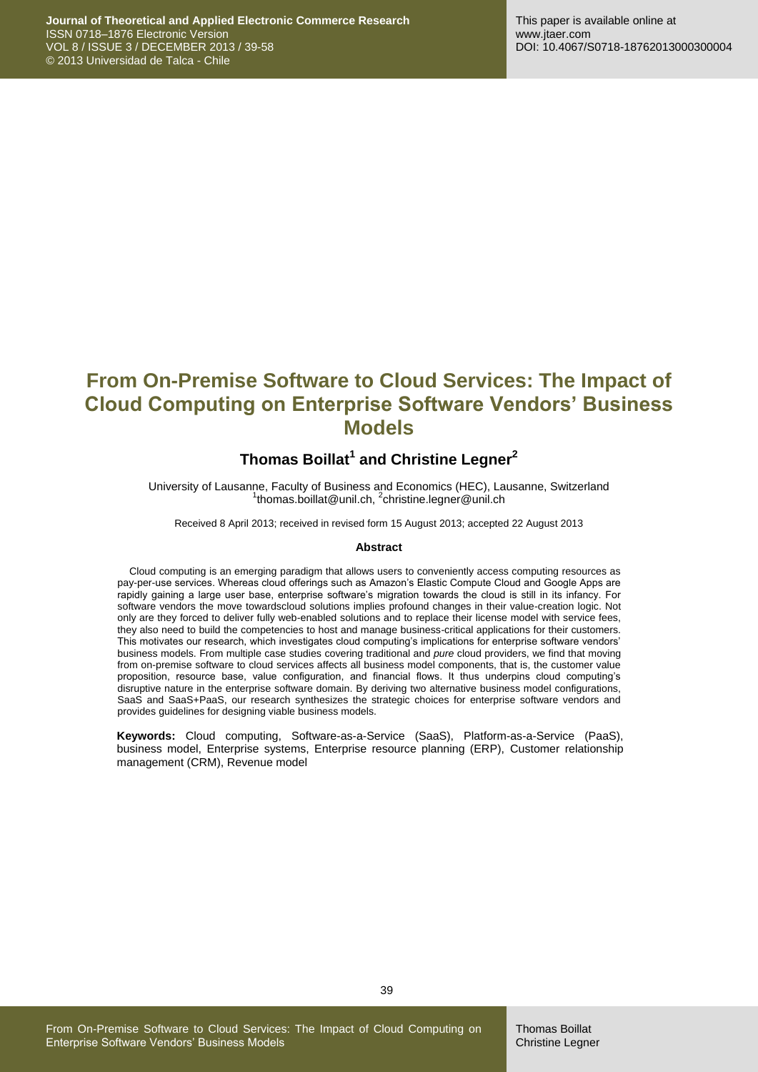# **From On-Premise Software to Cloud Services: The Impact of Cloud Computing on Enterprise Software Vendors' Business Models**

### **Thomas Boillat<sup>1</sup> and Christine Legner<sup>2</sup>**

University of Lausanne, Faculty of Business and Economics (HEC), Lausanne, Switzerland <sup>1</sup>thomas.boillat@unil.ch, <sup>2</sup>christine.legner@unil.ch

Received 8 April 2013; received in revised form 15 August 2013; accepted 22 August 2013

#### **Abstract**

Cloud computing is an emerging paradigm that allows users to conveniently access computing resources as pay-per-use services. Whereas cloud offerings such as Amazon's Elastic Compute Cloud and Google Apps are rapidly gaining a large user base, enterprise software's migration towards the cloud is still in its infancy. For software vendors the move towardscloud solutions implies profound changes in their value-creation logic. Not only are they forced to deliver fully web-enabled solutions and to replace their license model with service fees, they also need to build the competencies to host and manage business-critical applications for their customers. This motivates our research, which investigates cloud computing's implications for enterprise software vendors' business models. From multiple case studies covering traditional and *pure* cloud providers, we find that moving from on-premise software to cloud services affects all business model components, that is, the customer value proposition, resource base, value configuration, and financial flows. It thus underpins cloud computing's disruptive nature in the enterprise software domain. By deriving two alternative business model configurations, SaaS and SaaS+PaaS, our research synthesizes the strategic choices for enterprise software vendors and provides quidelines for designing viable business models.

**Keywords:** Cloud computing, Software-as-a-Service (SaaS), Platform-as-a-Service (PaaS), business model, Enterprise systems, Enterprise resource planning (ERP), Customer relationship management (CRM), Revenue model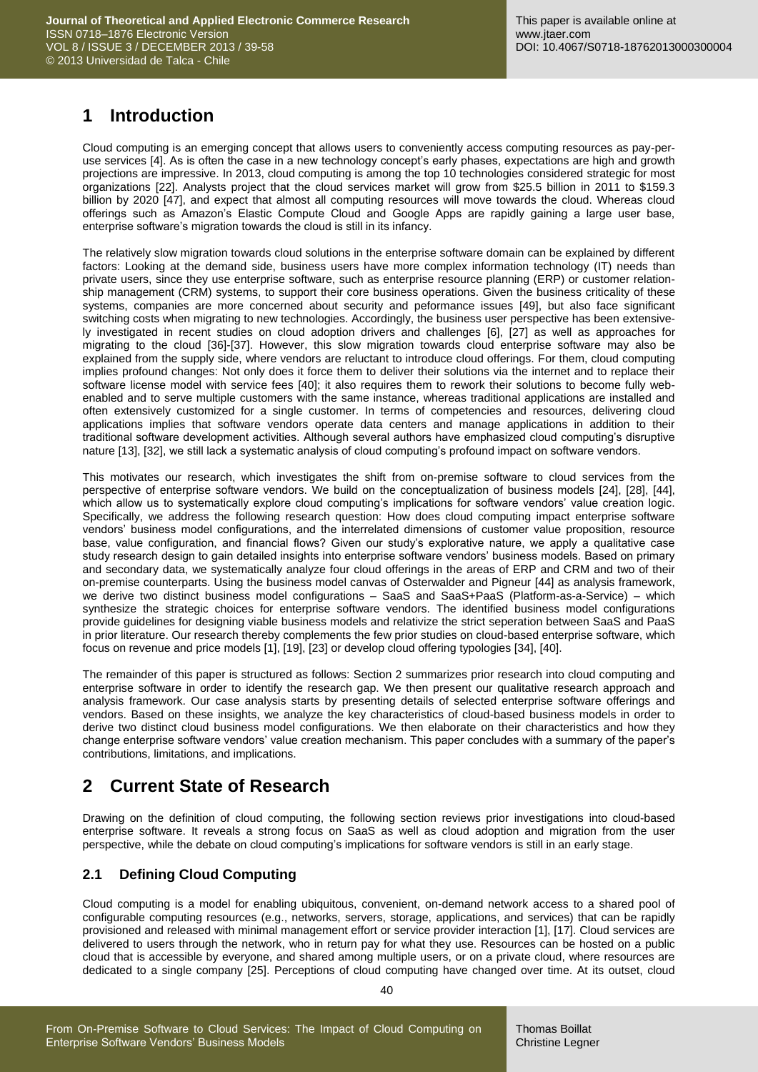# **1 Introduction**

Cloud computing is an emerging concept that allows users to conveniently access computing resources as pay-peruse services [4]. As is often the case in a new technology concept's early phases, expectations are high and growth projections are impressive. In 2013, cloud computing is among the top 10 technologies considered strategic for most organizations [22]. Analysts project that the cloud services market will grow from \$25.5 billion in 2011 to \$159.3 billion by 2020 [47], and expect that almost all computing resources will move towards the cloud. Whereas cloud offerings such as Amazon's Elastic Compute Cloud and Google Apps are rapidly gaining a large user base, enterprise software's migration towards the cloud is still in its infancy.

The relatively slow migration towards cloud solutions in the enterprise software domain can be explained by different factors: Looking at the demand side, business users have more complex information technology (IT) needs than private users, since they use enterprise software, such as enterprise resource planning (ERP) or customer relationship management (CRM) systems, to support their core business operations. Given the business criticality of these systems, companies are more concerned about security and peformance issues [49], but also face significant switching costs when migrating to new technologies. Accordingly, the business user perspective has been extensively investigated in recent studies on cloud adoption drivers and challenges [6], [27] as well as approaches for migrating to the cloud [36]-[37]. However, this slow migration towards cloud enterprise software may also be explained from the supply side, where vendors are reluctant to introduce cloud offerings. For them, cloud computing implies profound changes: Not only does it force them to deliver their solutions via the internet and to replace their software license model with service fees [40]; it also requires them to rework their solutions to become fully webenabled and to serve multiple customers with the same instance, whereas traditional applications are installed and often extensively customized for a single customer. In terms of competencies and resources, delivering cloud applications implies that software vendors operate data centers and manage applications in addition to their traditional software development activities. Although several authors have emphasized cloud computing's disruptive nature [13], [32], we still lack a systematic analysis of cloud computing's profound impact on software vendors.

This motivates our research, which investigates the shift from on-premise software to cloud services from the perspective of enterprise software vendors. We build on the conceptualization of business models [24], [28], [44], which allow us to systematically explore cloud computing's implications for software vendors' value creation logic. Specifically, we address the following research question: How does cloud computing impact enterprise software vendors' business model configurations, and the interrelated dimensions of customer value proposition, resource base, value configuration, and financial flows? Given our study's explorative nature, we apply a qualitative case study research design to gain detailed insights into enterprise software vendors' business models. Based on primary and secondary data, we systematically analyze four cloud offerings in the areas of ERP and CRM and two of their on-premise counterparts. Using the business model canvas of Osterwalder and Pigneur [44] as analysis framework, we derive two distinct business model configurations – SaaS and SaaS+PaaS (Platform-as-a-Service) – which synthesize the strategic choices for enterprise software vendors. The identified business model configurations provide guidelines for designing viable business models and relativize the strict seperation between SaaS and PaaS in prior literature. Our research thereby complements the few prior studies on cloud-based enterprise software, which focus on revenue and price models [1], [19], [23] or develop cloud offering typologies [34], [40].

The remainder of this paper is structured as follows: Section 2 summarizes prior research into cloud computing and enterprise software in order to identify the research gap. We then present our qualitative research approach and analysis framework. Our case analysis starts by presenting details of selected enterprise software offerings and vendors. Based on these insights, we analyze the key characteristics of cloud-based business models in order to derive two distinct cloud business model configurations. We then elaborate on their characteristics and how they change enterprise software vendors' value creation mechanism. This paper concludes with a summary of the paper's contributions, limitations, and implications.

# **2 Current State of Research**

Drawing on the definition of cloud computing, the following section reviews prior investigations into cloud-based enterprise software. It reveals a strong focus on SaaS as well as cloud adoption and migration from the user perspective, while the debate on cloud computing's implications for software vendors is still in an early stage.

### **2.1 Defining Cloud Computing**

Cloud computing is a model for enabling ubiquitous, convenient, on-demand network access to a shared pool of configurable computing resources (e.g., networks, servers, storage, applications, and services) that can be rapidly provisioned and released with minimal management effort or service provider interaction [1], [17]. Cloud services are delivered to users through the network, who in return pay for what they use. Resources can be hosted on a public cloud that is accessible by everyone, and shared among multiple users, or on a private cloud, where resources are dedicated to a single company [25]. Perceptions of cloud computing have changed over time. At its outset, cloud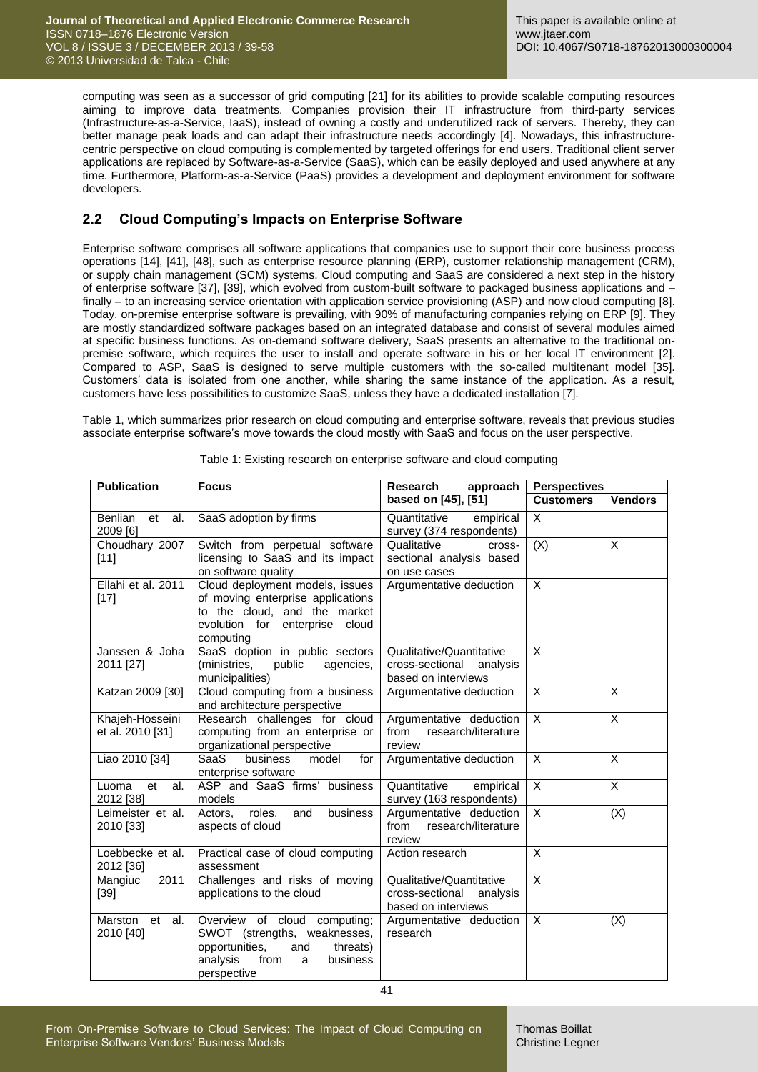computing was seen as a successor of grid computing [21] for its abilities to provide scalable computing resources aiming to improve data treatments. Companies provision their IT infrastructure from third-party services (Infrastructure-as-a-Service, IaaS), instead of owning a costly and underutilized rack of servers. Thereby, they can better manage peak loads and can adapt their infrastructure needs accordingly [4]. Nowadays, this infrastructurecentric perspective on cloud computing is complemented by targeted offerings for end users. Traditional client server applications are replaced by Software-as-a-Service (SaaS), which can be easily deployed and used anywhere at any time. Furthermore, Platform-as-a-Service (PaaS) provides a development and deployment environment for software developers.

#### **2.2 Cloud Computing's Impacts on Enterprise Software**

Enterprise software comprises all software applications that companies use to support their core business process operations [14], [41], [48], such as enterprise resource planning (ERP), customer relationship management (CRM), or supply chain management (SCM) systems. Cloud computing and SaaS are considered a next step in the history of enterprise software [37], [39], which evolved from custom-built software to packaged business applications and – finally – to an increasing service orientation with application service provisioning (ASP) and now cloud computing [8]. Today, on-premise enterprise software is prevailing, with 90% of manufacturing companies relying on ERP [9]. They are mostly standardized software packages based on an integrated database and consist of several modules aimed at specific business functions. As on-demand software delivery, SaaS presents an alternative to the traditional onpremise software, which requires the user to install and operate software in his or her local IT environment [2]. Compared to ASP, SaaS is designed to serve multiple customers with the so-called multitenant model [35]. Customers' data is isolated from one another, while sharing the same instance of the application. As a result, customers have less possibilities to customize SaaS, unless they have a dedicated installation [7].

Table 1, which summarizes prior research on cloud computing and enterprise software, reveals that previous studies associate enterprise software's move towards the cloud mostly with SaaS and focus on the user perspective.

| <b>Publication</b>                     | <b>Focus</b>                                                                                                                                          | Research<br>approach                                                           | <b>Perspectives</b>     |                         |
|----------------------------------------|-------------------------------------------------------------------------------------------------------------------------------------------------------|--------------------------------------------------------------------------------|-------------------------|-------------------------|
|                                        |                                                                                                                                                       | based on [45], [51]                                                            | <b>Customers</b>        | <b>Vendors</b>          |
| Benlian<br>et<br>al.<br>2009 [6]       | SaaS adoption by firms                                                                                                                                | Quantitative<br>empirical<br>survey (374 respondents)                          | $\times$                |                         |
| Choudhary 2007<br>$[11]$               | Switch from perpetual software<br>licensing to SaaS and its impact<br>on software quality                                                             | Qualitative<br>cross-<br>sectional analysis based<br>on use cases              | (X)                     | $\times$                |
| Ellahi et al. 2011<br>$[17]$           | Cloud deployment models, issues<br>of moving enterprise applications<br>to the cloud, and the market<br>evolution for enterprise cloud<br>computing   | Argumentative deduction                                                        | $\sf X$                 |                         |
| Janssen & Joha<br>2011 [27]            | SaaS doption in public sectors<br>(ministries,<br>agencies.<br>public<br>municipalities)                                                              | Qualitative/Quantitative<br>cross-sectional<br>analysis<br>based on interviews | X                       |                         |
| Katzan 2009 [30]                       | Cloud computing from a business<br>and architecture perspective                                                                                       | Argumentative deduction                                                        | X                       | X                       |
| Khajeh-Hosseini<br>et al. 2010 [31]    | Research challenges for cloud<br>computing from an enterprise or<br>organizational perspective                                                        | Argumentative deduction<br>from<br>research/literature<br>review               | $\overline{X}$          | $\overline{\mathsf{x}}$ |
| Liao 2010 [34]                         | <b>SaaS</b><br>business<br>model<br>for<br>enterprise software                                                                                        | Argumentative deduction                                                        | $\times$                | X                       |
| Luoma<br>et<br>al.<br>2012 [38]        | ASP and SaaS firms' business<br>models                                                                                                                | Quantitative<br>empirical<br>survey (163 respondents)                          | X                       | X                       |
| Leimeister et al.<br>2010 [33]         | Actors,<br>roles,<br>and<br>business<br>aspects of cloud                                                                                              | Argumentative deduction<br>from<br>research/literature<br>review               | $\times$                | (X)                     |
| Loebbecke et al.<br>2012 [36]          | Practical case of cloud computing<br>assessment                                                                                                       | Action research                                                                | $\overline{\mathsf{x}}$ |                         |
| $\overline{2}011$<br>Mangiuc<br>$[39]$ | Challenges and risks of moving<br>applications to the cloud                                                                                           | Qualitative/Quantitative<br>cross-sectional<br>analysis<br>based on interviews | $\overline{\mathsf{x}}$ |                         |
| Marston<br>et<br>al.<br>2010 [40]      | Overview of cloud computing;<br>SWOT (strengths, weaknesses,<br>opportunities,<br>and<br>threats)<br>analysis<br>from<br>business<br>a<br>perspective | Argumentative deduction<br>research                                            | $\sf X$                 | (X)                     |

Table 1: Existing research on enterprise software and cloud computing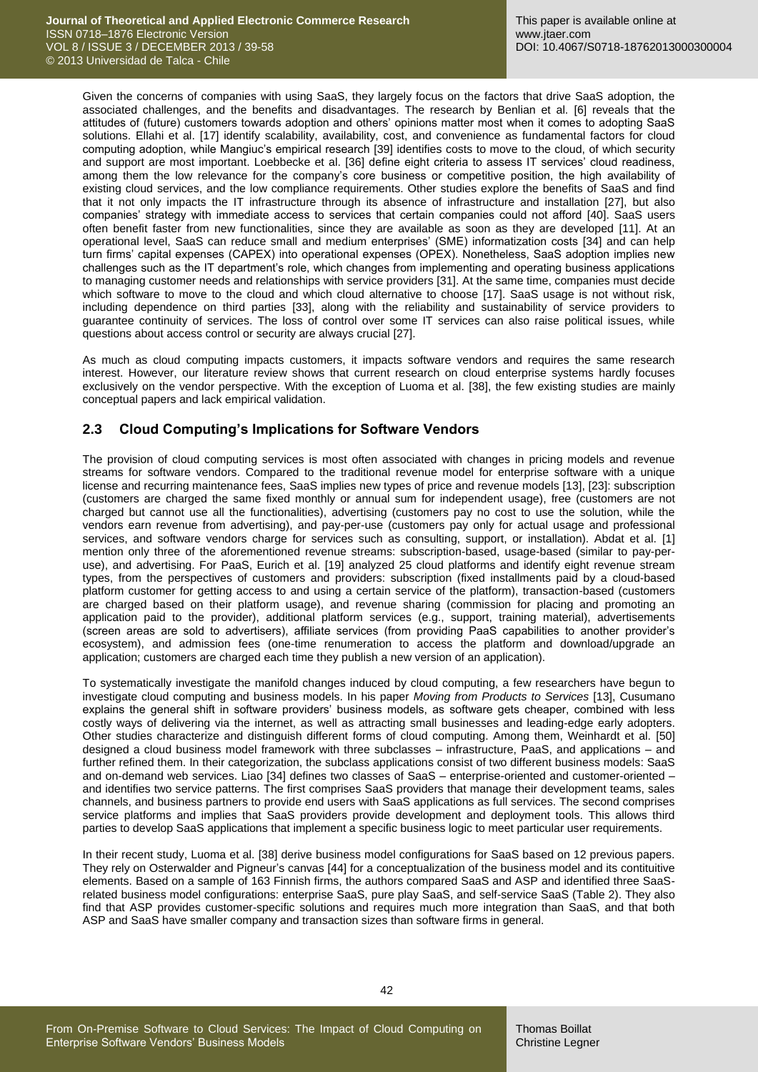Given the concerns of companies with using SaaS, they largely focus on the factors that drive SaaS adoption, the associated challenges, and the benefits and disadvantages. The research by Benlian et al. [6] reveals that the attitudes of (future) customers towards adoption and others' opinions matter most when it comes to adopting SaaS solutions. Ellahi et al. [17] identify scalability, availability, cost, and convenience as fundamental factors for cloud computing adoption, while Mangiuc's empirical research [39] identifies costs to move to the cloud, of which security and support are most important. Loebbecke et al. [36] define eight criteria to assess IT services' cloud readiness, among them the low relevance for the company's core business or competitive position, the high availability of existing cloud services, and the low compliance requirements. Other studies explore the benefits of SaaS and find that it not only impacts the IT infrastructure through its absence of infrastructure and installation [27], but also companies' strategy with immediate access to services that certain companies could not afford [40]. SaaS users often benefit faster from new functionalities, since they are available as soon as they are developed [11]. At an operational level, SaaS can reduce small and medium enterprises' (SME) informatization costs [34] and can help turn firms' capital expenses (CAPEX) into operational expenses (OPEX). Nonetheless, SaaS adoption implies new challenges such as the IT department's role, which changes from implementing and operating business applications to managing customer needs and relationships with service providers [31]. At the same time, companies must decide which software to move to the cloud and which cloud alternative to choose [17]. SaaS usage is not without risk, including dependence on third parties [33], along with the reliability and sustainability of service providers to guarantee continuity of services. The loss of control over some IT services can also raise political issues, while questions about access control or security are always crucial [27].

As much as cloud computing impacts customers, it impacts software vendors and requires the same research interest. However, our literature review shows that current research on cloud enterprise systems hardly focuses exclusively on the vendor perspective. With the exception of Luoma et al. [38], the few existing studies are mainly conceptual papers and lack empirical validation.

#### **2.3 Cloud Computing's Implications for Software Vendors**

The provision of cloud computing services is most often associated with changes in pricing models and revenue streams for software vendors. Compared to the traditional revenue model for enterprise software with a unique license and recurring maintenance fees, SaaS implies new types of price and revenue models [13], [23]: subscription (customers are charged the same fixed monthly or annual sum for independent usage), free (customers are not charged but cannot use all the functionalities), advertising (customers pay no cost to use the solution, while the vendors earn revenue from advertising), and pay-per-use (customers pay only for actual usage and professional services, and software vendors charge for services such as consulting, support, or installation). Abdat et al. [1] mention only three of the aforementioned revenue streams: subscription-based, usage-based (similar to pay-peruse), and advertising. For PaaS, Eurich et al. [19] analyzed 25 cloud platforms and identify eight revenue stream types, from the perspectives of customers and providers: subscription (fixed installments paid by a cloud-based platform customer for getting access to and using a certain service of the platform), transaction-based (customers are charged based on their platform usage), and revenue sharing (commission for placing and promoting an application paid to the provider), additional platform services (e.g., support, training material), advertisements (screen areas are sold to advertisers), affiliate services (from providing PaaS capabilities to another provider's ecosystem), and admission fees (one-time renumeration to access the platform and download/upgrade an application; customers are charged each time they publish a new version of an application).

To systematically investigate the manifold changes induced by cloud computing, a few researchers have begun to investigate cloud computing and business models. In his paper *Moving from Products to Services* [13], Cusumano explains the general shift in software providers' business models, as software gets cheaper, combined with less costly ways of delivering via the internet, as well as attracting small businesses and leading-edge early adopters. Other studies characterize and distinguish different forms of cloud computing. Among them, Weinhardt et al. [50] designed a cloud business model framework with three subclasses – infrastructure, PaaS, and applications – and further refined them. In their categorization, the subclass applications consist of two different business models: SaaS and on-demand web services. Liao [34] defines two classes of SaaS – enterprise-oriented and customer-oriented – and identifies two service patterns. The first comprises SaaS providers that manage their development teams, sales channels, and business partners to provide end users with SaaS applications as full services. The second comprises service platforms and implies that SaaS providers provide development and deployment tools. This allows third parties to develop SaaS applications that implement a specific business logic to meet particular user requirements.

In their recent study, Luoma et al. [38] derive business model configurations for SaaS based on 12 previous papers. They rely on Osterwalder and Pigneur's canvas [44] for a conceptualization of the business model and its contituitive elements. Based on a sample of 163 Finnish firms, the authors compared SaaS and ASP and identified three SaaSrelated business model configurations: enterprise SaaS, pure play SaaS, and self-service SaaS [\(Table 2\)](#page-4-0). They also find that ASP provides customer-specific solutions and requires much more integration than SaaS, and that both ASP and SaaS have smaller company and transaction sizes than software firms in general.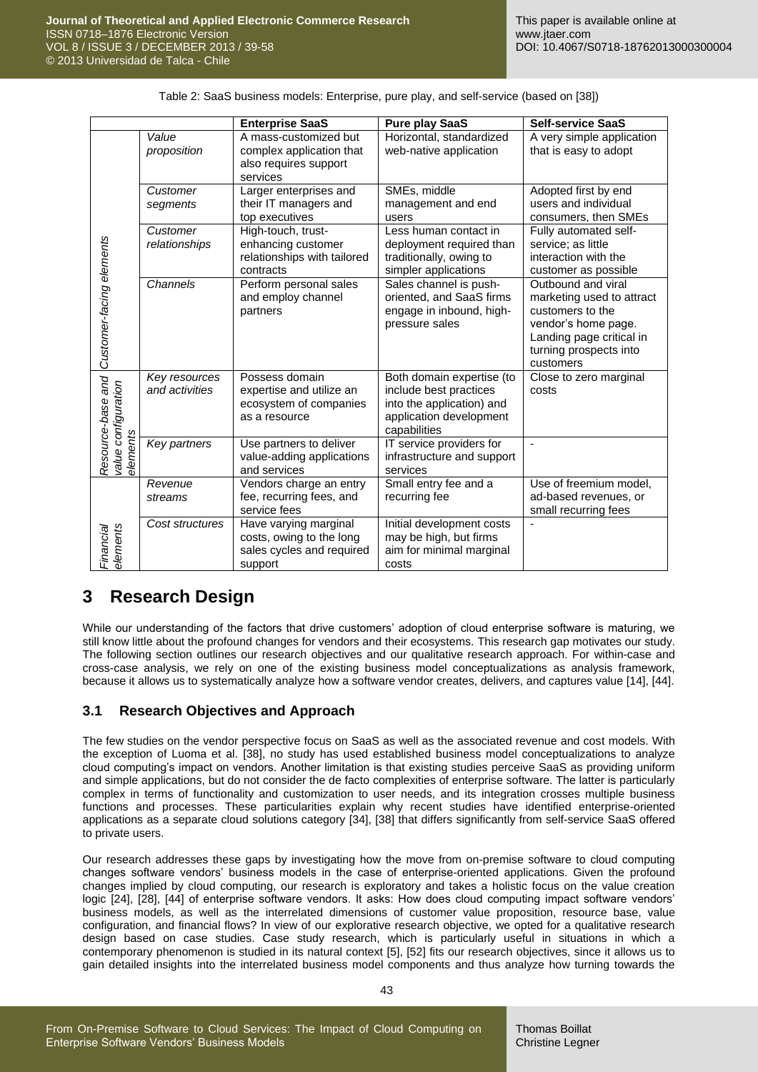<span id="page-4-0"></span>

|                                          |                                 | <b>Enterprise SaaS</b>                                                                    | <b>Pure play SaaS</b>                                                                                                       | <b>Self-service SaaS</b>                                                                                                                                      |
|------------------------------------------|---------------------------------|-------------------------------------------------------------------------------------------|-----------------------------------------------------------------------------------------------------------------------------|---------------------------------------------------------------------------------------------------------------------------------------------------------------|
|                                          | Value<br>proposition            | A mass-customized but<br>complex application that<br>also requires support<br>services    | Horizontal, standardized<br>web-native application                                                                          | A very simple application<br>that is easy to adopt                                                                                                            |
|                                          | Customer<br>segments            | Larger enterprises and<br>their IT managers and<br>top executives                         | SMEs, middle<br>management and end<br>users                                                                                 | Adopted first by end<br>users and individual<br>consumers, then SMEs                                                                                          |
|                                          | Customer<br>relationships       | High-touch, trust-<br>enhancing customer<br>relationships with tailored<br>contracts      | Less human contact in<br>deployment required than<br>traditionally, owing to<br>simpler applications                        | Fully automated self-<br>service; as little<br>interaction with the<br>customer as possible                                                                   |
| Customer-facing elements                 | Channels                        | Perform personal sales<br>and employ channel<br>partners                                  | Sales channel is push-<br>oriented, and SaaS firms<br>engage in inbound, high-<br>pressure sales                            | Outbound and viral<br>marketing used to attract<br>customers to the<br>vendor's home page.<br>Landing page critical in<br>turning prospects into<br>customers |
| Resource-base and<br>value configuration | Key resources<br>and activities | Possess domain<br>expertise and utilize an<br>ecosystem of companies<br>as a resource     | Both domain expertise (to<br>include best practices<br>into the application) and<br>application development<br>capabilities | Close to zero marginal<br>costs                                                                                                                               |
| elements                                 | Key partners                    | Use partners to deliver<br>value-adding applications<br>and services                      | IT service providers for<br>infrastructure and support<br>services                                                          | $\overline{\phantom{a}}$                                                                                                                                      |
|                                          | Revenue<br>streams              | Vendors charge an entry<br>fee, recurring fees, and<br>service fees                       | Small entry fee and a<br>recurring fee                                                                                      | Use of freemium model,<br>ad-based revenues, or<br>small recurring fees                                                                                       |
| elements<br>Financial                    | Cost structures                 | Have varying marginal<br>costs, owing to the long<br>sales cycles and required<br>support | Initial development costs<br>may be high, but firms<br>aim for minimal marginal<br>costs                                    |                                                                                                                                                               |

Table 2: SaaS business models: Enterprise, pure play, and self-service (based on [38])

# **3 Research Design**

While our understanding of the factors that drive customers' adoption of cloud enterprise software is maturing, we still know little about the profound changes for vendors and their ecosystems. This research gap motivates our study. The following section outlines our research objectives and our qualitative research approach. For within-case and cross-case analysis, we rely on one of the existing business model conceptualizations as analysis framework, because it allows us to systematically analyze how a software vendor creates, delivers, and captures value [14], [44].

### **3.1 Research Objectives and Approach**

The few studies on the vendor perspective focus on SaaS as well as the associated revenue and cost models. With the exception of Luoma et al. [38], no study has used established business model conceptualizations to analyze cloud computing's impact on vendors. Another limitation is that existing studies perceive SaaS as providing uniform and simple applications, but do not consider the de facto complexities of enterprise software. The latter is particularly complex in terms of functionality and customization to user needs, and its integration crosses multiple business functions and processes. These particularities explain why recent studies have identified enterprise-oriented applications as a separate cloud solutions category [34], [38] that differs significantly from self-service SaaS offered to private users.

Our research addresses these gaps by investigating how the move from on-premise software to cloud computing changes software vendors' business models in the case of enterprise-oriented applications. Given the profound changes implied by cloud computing, our research is exploratory and takes a holistic focus on the value creation logic [24], [28], [44] of enterprise software vendors. It asks: How does cloud computing impact software vendors' business models, as well as the interrelated dimensions of customer value proposition, resource base, value configuration, and financial flows? In view of our explorative research objective, we opted for a qualitative research design based on case studies. Case study research, which is particularly useful in situations in which a contemporary phenomenon is studied in its natural context [5], [52] fits our research objectives, since it allows us to gain detailed insights into the interrelated business model components and thus analyze how turning towards the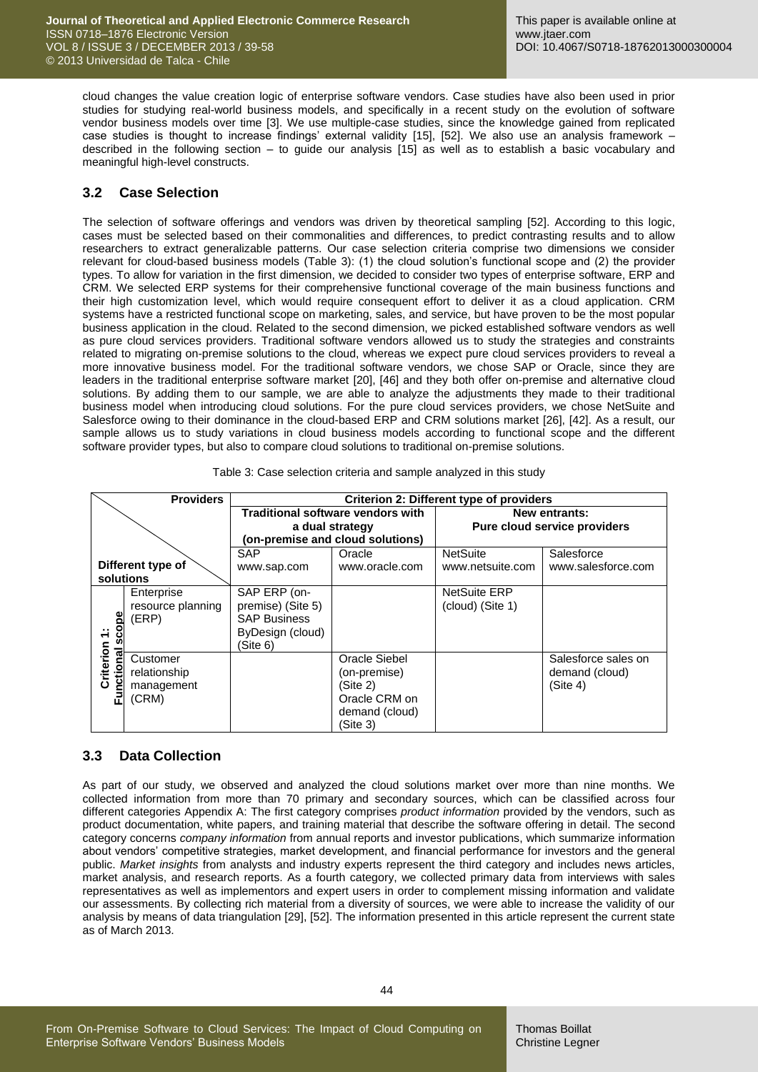cloud changes the value creation logic of enterprise software vendors. Case studies have also been used in prior studies for studying real-world business models, and specifically in a recent study on the evolution of software vendor business models over time [3]. We use multiple-case studies, since the knowledge gained from replicated case studies is thought to increase findings' external validity [15], [52]. We also use an analysis framework – described in the following section – to guide our analysis [15] as well as to establish a basic vocabulary and meaningful high-level constructs.

### **3.2 Case Selection**

The selection of software offerings and vendors was driven by theoretical sampling [52]. According to this logic, cases must be selected based on their commonalities and differences, to predict contrasting results and to allow researchers to extract generalizable patterns. Our case selection criteria comprise two dimensions we consider relevant for cloud-based business models (Table 3): (1) the cloud solution's functional scope and (2) the provider types. To allow for variation in the first dimension, we decided to consider two types of enterprise software, ERP and CRM. We selected ERP systems for their comprehensive functional coverage of the main business functions and their high customization level, which would require consequent effort to deliver it as a cloud application. CRM systems have a restricted functional scope on marketing, sales, and service, but have proven to be the most popular business application in the cloud. Related to the second dimension, we picked established software vendors as well as pure cloud services providers. Traditional software vendors allowed us to study the strategies and constraints related to migrating on-premise solutions to the cloud, whereas we expect pure cloud services providers to reveal a more innovative business model. For the traditional software vendors, we chose SAP or Oracle, since they are leaders in the traditional enterprise software market [20], [46] and they both offer on-premise and alternative cloud solutions. By adding them to our sample, we are able to analyze the adjustments they made to their traditional business model when introducing cloud solutions. For the pure cloud services providers, we chose NetSuite and Salesforce owing to their dominance in the cloud-based ERP and CRM solutions market [26], [42]. As a result, our sample allows us to study variations in cloud business models according to functional scope and the different software provider types, but also to compare cloud solutions to traditional on-premise solutions.

| <b>Providers</b>                |                                                 | <b>Criterion 2: Different type of providers</b>                                                 |                                                                                          |                                               |                                                   |  |
|---------------------------------|-------------------------------------------------|-------------------------------------------------------------------------------------------------|------------------------------------------------------------------------------------------|-----------------------------------------------|---------------------------------------------------|--|
|                                 |                                                 | <b>Traditional software vendors with</b><br>a dual strategy<br>(on-premise and cloud solutions) |                                                                                          | New entrants:<br>Pure cloud service providers |                                                   |  |
| Different type of<br>solutions  |                                                 | <b>SAP</b><br>www.sap.com                                                                       | Oracle<br>www.oracle.com                                                                 | <b>NetSuite</b><br>www.netsuite.com           | Salesforce<br>www.salesforce.com                  |  |
| ope<br>$\overline{\phantom{0}}$ | Enterprise<br>resource planning<br>(ERP)        | SAP ERP (on-<br>premise) (Site 5)<br><b>SAP Business</b><br>ByDesign (cloud)<br>(Site 6)        |                                                                                          | <b>NetSuite ERP</b><br>(cloud) (Site 1)       |                                                   |  |
| riterion<br>nctional<br>σ       | Customer<br>relationship<br>management<br>(CRM) |                                                                                                 | Oracle Siebel<br>(on-premise)<br>(Site 2)<br>Oracle CRM on<br>demand (cloud)<br>(Site 3) |                                               | Salesforce sales on<br>demand (cloud)<br>(Site 4) |  |

Table 3: Case selection criteria and sample analyzed in this study

### **3.3 Data Collection**

As part of our study, we observed and analyzed the cloud solutions market over more than nine months. We collected information from more than 70 primary and secondary sources, which can be classified across four different categories Appendix A: The first category comprises *product information* provided by the vendors, such as product documentation, white papers, and training material that describe the software offering in detail. The second category concerns *company information* from annual reports and investor publications, which summarize information about vendors' competitive strategies, market development, and financial performance for investors and the general public. *Market insights* from analysts and industry experts represent the third category and includes news articles, market analysis, and research reports. As a fourth category, we collected primary data from interviews with sales representatives as well as implementors and expert users in order to complement missing information and validate our assessments. By collecting rich material from a diversity of sources, we were able to increase the validity of our analysis by means of data triangulation [29], [52]. The information presented in this article represent the current state as of March 2013.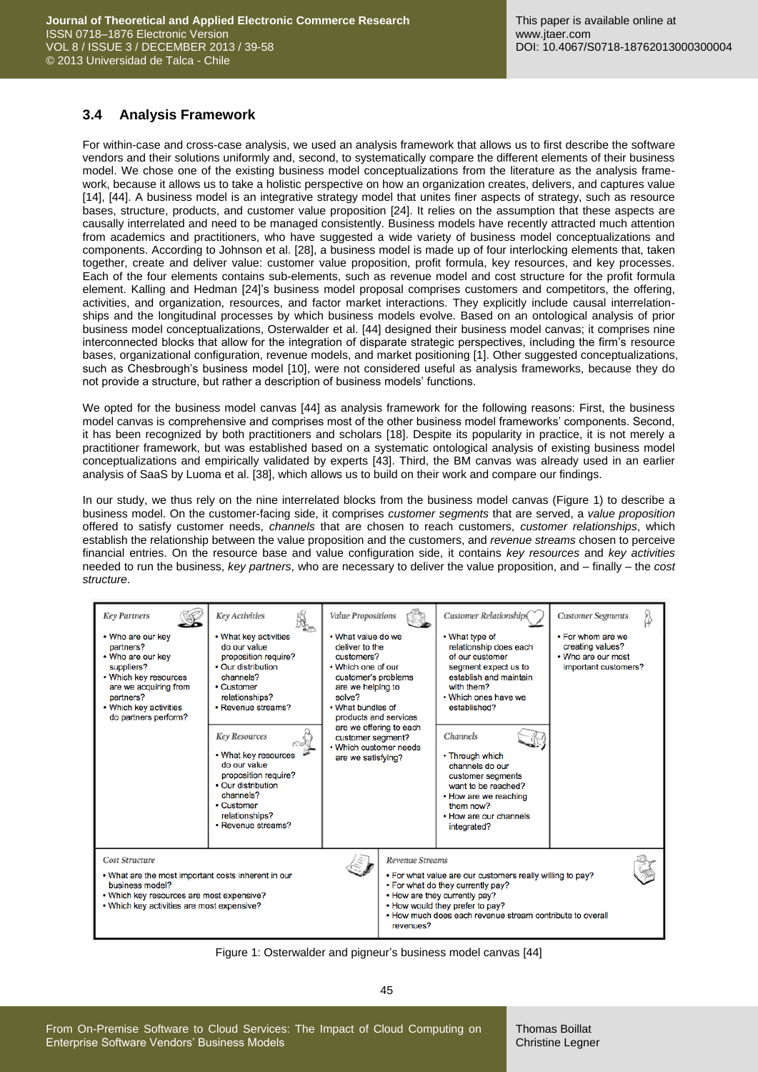### **3.4 Analysis Framework**

For within-case and cross-case analysis, we used an analysis framework that allows us to first describe the software vendors and their solutions uniformly and, second, to systematically compare the different elements of their business model. We chose one of the existing business model conceptualizations from the literature as the analysis framework, because it allows us to take a holistic perspective on how an organization creates, delivers, and captures value [14], [44]. A business model is an integrative strategy model that unites finer aspects of strategy, such as resource bases, structure, products, and customer value proposition [24]. It relies on the assumption that these aspects are causally interrelated and need to be managed consistently. Business models have recently attracted much attention from academics and practitioners, who have suggested a wide variety of business model conceptualizations and components. According to Johnson et al. [28], a business model is made up of four interlocking elements that, taken together, create and deliver value: customer value proposition, profit formula, key resources, and key processes. Each of the four elements contains sub-elements, such as revenue model and cost structure for the profit formula element. Kalling and Hedman [24]'s business model proposal comprises customers and competitors, the offering, activities, and organization, resources, and factor market interactions. They explicitly include causal interrelationships and the longitudinal processes by which business models evolve. Based on an ontological analysis of prior business model conceptualizations, Osterwalder et al. [44] designed their business model canvas; it comprises nine interconnected blocks that allow for the integration of disparate strategic perspectives, including the firm's resource bases, organizational configuration, revenue models, and market positioning [1]. Other suggested conceptualizations, such as Chesbrough's business model [10], were not considered useful as analysis frameworks, because they do not provide a structure, but rather a description of business models' functions.

We opted for the business model canvas [44] as analysis framework for the following reasons: First, the business model canvas is comprehensive and comprises most of the other business model frameworks' components. Second, it has been recognized by both practitioners and scholars [18]. Despite its popularity in practice, it is not merely a practitioner framework, but was established based on a systematic ontological analysis of existing business model conceptualizations and empirically validated by experts [43]. Third, the BM canvas was already used in an earlier analysis of SaaS by Luoma et al. [38], which allows us to build on their work and compare our findings.

In our study, we thus rely on the nine interrelated blocks from the business model canvas [\(Figure 1\)](#page-6-0) to describe a business model. On the customer-facing side, it comprises *customer segments* that are served, a *value proposition* offered to satisfy customer needs, *channels* that are chosen to reach customers, *customer relationships*, which establish the relationship between the value proposition and the customers, and *revenue streams* chosen to perceive financial entries. On the resource base and value configuration side, it contains *key resources* and *key activities* needed to run the business, *key partners*, who are necessary to deliver the value proposition, and – finally – the *cost structure*.

| <b>Key Partners</b><br>• Who are our key<br>partners?<br>• Who are our key<br>suppliers?<br>• Which key resources<br>are we acquiring from<br>partners?<br>• Which key activities<br>do partners perform? | <b>Key Activities</b><br>• What key activities<br>do our value<br>proposition require?<br>• Our distribution<br>channels?<br>• Customer<br>relationships?<br>• Revenue streams?<br><b>Key Resources</b><br>• What key resources<br>do our value<br>proposition require?<br>• Our distribution<br>channels?<br>• Customer<br>relationships?<br>• Revenue streams? | Value Propositions<br>. What value do we<br>deliver to the<br>customers?<br>• Which one of our<br>customer's problems<br>are we helping to<br>solve?<br>. What bundles of<br>products and services<br>customer segment?<br>. Which customer needs<br>are we satisfying? | are we offering to each      | <b>Customer Relationships</b><br>• What type of<br>relationship does each<br>of our customer<br>segment expect us to<br>establish and maintain<br>with them?<br>• Which ones have we<br>established?<br>Channels<br>• Through which<br>channels do our<br>customer segments<br>want to be reached?<br>• How are we reaching<br>them now?<br>. How are our channels<br>integrated? | <b>Customer Segments</b><br>Þ<br>. For whom are we<br>creating values?<br>• Who are our most<br>important customers? |
|-----------------------------------------------------------------------------------------------------------------------------------------------------------------------------------------------------------|------------------------------------------------------------------------------------------------------------------------------------------------------------------------------------------------------------------------------------------------------------------------------------------------------------------------------------------------------------------|-------------------------------------------------------------------------------------------------------------------------------------------------------------------------------------------------------------------------------------------------------------------------|------------------------------|-----------------------------------------------------------------------------------------------------------------------------------------------------------------------------------------------------------------------------------------------------------------------------------------------------------------------------------------------------------------------------------|----------------------------------------------------------------------------------------------------------------------|
| Cost Structure<br>. What are the most important costs inherent in our<br>business model?<br>. Which key resources are most expensive?<br>. Which key activities are most expensive?                       |                                                                                                                                                                                                                                                                                                                                                                  |                                                                                                                                                                                                                                                                         | Revenue Streams<br>revenues? | . For what value are our customers really willing to pay?<br>. For what do they currently pay?<br>• How are they currently pay?<br>• How would they prefer to pay?<br>. How much does each revenue stream contribute to overall                                                                                                                                                   |                                                                                                                      |

<span id="page-6-0"></span>Figure 1: Osterwalder and pigneur's business model canvas [44]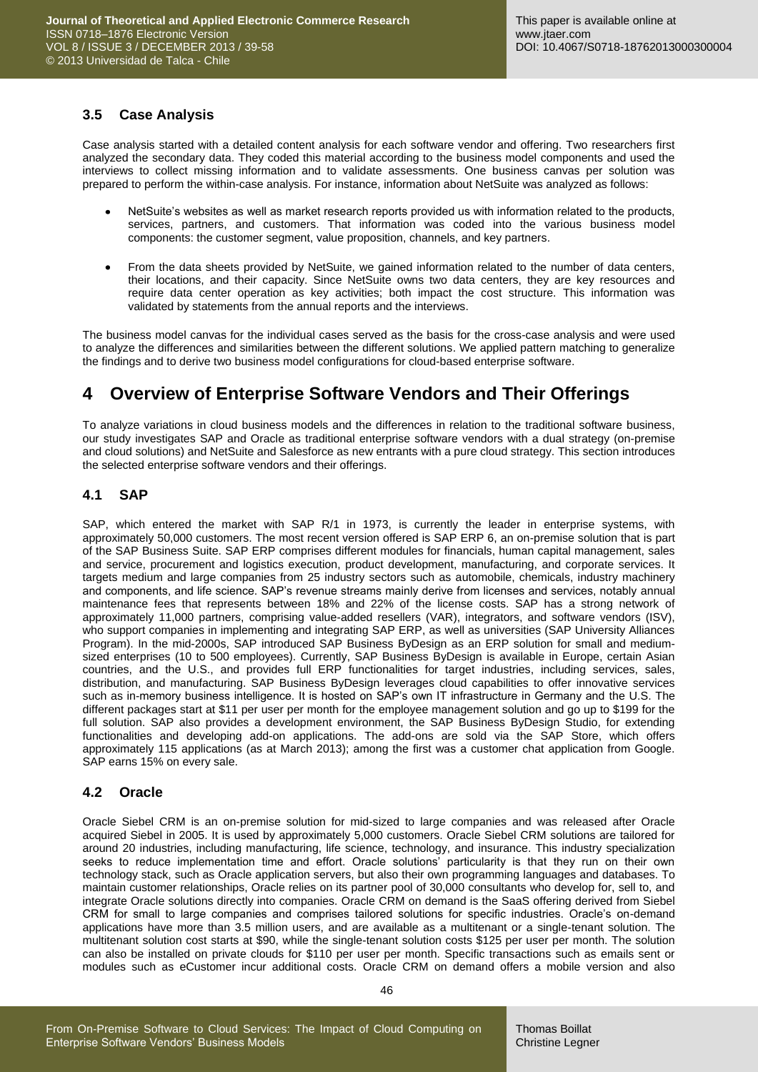### **3.5 Case Analysis**

Case analysis started with a detailed content analysis for each software vendor and offering. Two researchers first analyzed the secondary data. They coded this material according to the business model components and used the interviews to collect missing information and to validate assessments. One business canvas per solution was prepared to perform the within-case analysis. For instance, information about NetSuite was analyzed as follows:

- NetSuite's websites as well as market research reports provided us with information related to the products, services, partners, and customers. That information was coded into the various business model components: the customer segment, value proposition, channels, and key partners.
- From the data sheets provided by NetSuite, we gained information related to the number of data centers, their locations, and their capacity. Since NetSuite owns two data centers, they are key resources and require data center operation as key activities; both impact the cost structure. This information was validated by statements from the annual reports and the interviews.

The business model canvas for the individual cases served as the basis for the cross-case analysis and were used to analyze the differences and similarities between the different solutions. We applied pattern matching to generalize the findings and to derive two business model configurations for cloud-based enterprise software.

# **4 Overview of Enterprise Software Vendors and Their Offerings**

To analyze variations in cloud business models and the differences in relation to the traditional software business, our study investigates SAP and Oracle as traditional enterprise software vendors with a dual strategy (on-premise and cloud solutions) and NetSuite and Salesforce as new entrants with a pure cloud strategy. This section introduces the selected enterprise software vendors and their offerings.

### **4.1 SAP**

SAP, which entered the market with SAP R/1 in 1973, is currently the leader in enterprise systems, with approximately 50,000 customers. The most recent version offered is SAP ERP 6, an on-premise solution that is part of the SAP Business Suite. SAP ERP comprises different modules for financials, human capital management, sales and service, procurement and logistics execution, product development, manufacturing, and corporate services. It targets medium and large companies from 25 industry sectors such as automobile, chemicals, industry machinery and components, and life science. SAP's revenue streams mainly derive from licenses and services, notably annual maintenance fees that represents between 18% and 22% of the license costs. SAP has a strong network of approximately 11,000 partners, comprising value-added resellers (VAR), integrators, and software vendors (ISV), who support companies in implementing and integrating SAP ERP, as well as universities (SAP University Alliances Program). In the mid-2000s, SAP introduced SAP Business ByDesign as an ERP solution for small and mediumsized enterprises (10 to 500 employees). Currently, SAP Business ByDesign is available in Europe, certain Asian countries, and the U.S., and provides full ERP functionalities for target industries, including services, sales, distribution, and manufacturing. SAP Business ByDesign leverages cloud capabilities to offer innovative services such as in-memory business intelligence. It is hosted on SAP's own IT infrastructure in Germany and the U.S. The different packages start at \$11 per user per month for the employee management solution and go up to \$199 for the full solution. SAP also provides a development environment, the SAP Business ByDesign Studio, for extending functionalities and developing add-on applications. The add-ons are sold via the SAP Store, which offers approximately 115 applications (as at March 2013); among the first was a customer chat application from Google. SAP earns 15% on every sale.

### **4.2 Oracle**

Oracle Siebel CRM is an on-premise solution for mid-sized to large companies and was released after Oracle acquired Siebel in 2005. It is used by approximately 5,000 customers. Oracle Siebel CRM solutions are tailored for around 20 industries, including manufacturing, life science, technology, and insurance. This industry specialization seeks to reduce implementation time and effort. Oracle solutions' particularity is that they run on their own technology stack, such as Oracle application servers, but also their own programming languages and databases. To maintain customer relationships, Oracle relies on its partner pool of 30,000 consultants who develop for, sell to, and integrate Oracle solutions directly into companies. Oracle CRM on demand is the SaaS offering derived from Siebel CRM for small to large companies and comprises tailored solutions for specific industries. Oracle's on-demand applications have more than 3.5 million users, and are available as a multitenant or a single-tenant solution. The multitenant solution cost starts at \$90, while the single-tenant solution costs \$125 per user per month. The solution can also be installed on private clouds for \$110 per user per month. Specific transactions such as emails sent or modules such as eCustomer incur additional costs. Oracle CRM on demand offers a mobile version and also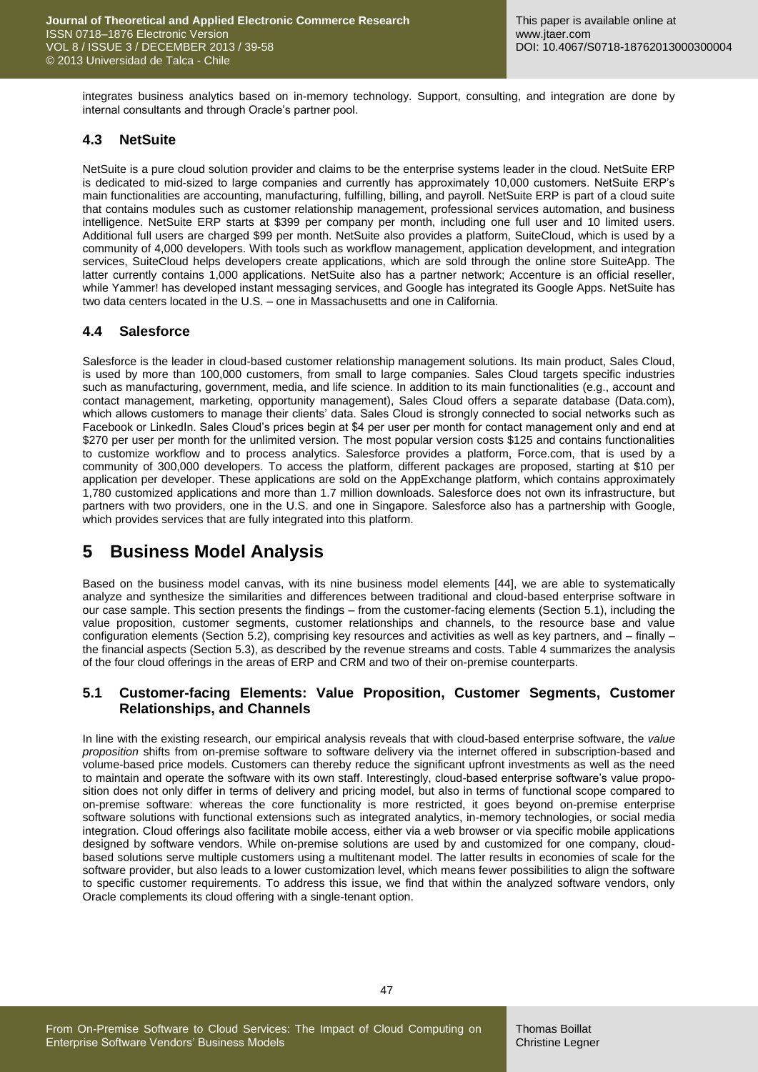integrates business analytics based on in-memory technology. Support, consulting, and integration are done by internal consultants and through Oracle's partner pool.

#### **4.3 NetSuite**

NetSuite is a pure cloud solution provider and claims to be the enterprise systems leader in the cloud. NetSuite ERP is dedicated to mid-sized to large companies and currently has approximately 10,000 customers. NetSuite ERP's main functionalities are accounting, manufacturing, fulfilling, billing, and payroll. NetSuite ERP is part of a cloud suite that contains modules such as customer relationship management, professional services automation, and business intelligence. NetSuite ERP starts at \$399 per company per month, including one full user and 10 limited users. Additional full users are charged \$99 per month. NetSuite also provides a platform, SuiteCloud, which is used by a community of 4,000 developers. With tools such as workflow management, application development, and integration services, SuiteCloud helps developers create applications, which are sold through the online store SuiteApp. The latter currently contains 1,000 applications. NetSuite also has a partner network; Accenture is an official reseller, while Yammer! has developed instant messaging services, and Google has integrated its Google Apps. NetSuite has two data centers located in the U.S. – one in Massachusetts and one in California.

#### **4.4 Salesforce**

Salesforce is the leader in cloud-based customer relationship management solutions. Its main product, Sales Cloud, is used by more than 100,000 customers, from small to large companies. Sales Cloud targets specific industries such as manufacturing, government, media, and life science. In addition to its main functionalities (e.g., account and contact management, marketing, opportunity management), Sales Cloud offers a separate database (Data.com), which allows customers to manage their clients' data. Sales Cloud is strongly connected to social networks such as Facebook or LinkedIn. Sales Cloud's prices begin at \$4 per user per month for contact management only and end at \$270 per user per month for the unlimited version. The most popular version costs \$125 and contains functionalities to customize workflow and to process analytics. Salesforce provides a platform, Force.com, that is used by a community of 300,000 developers. To access the platform, different packages are proposed, starting at \$10 per application per developer. These applications are sold on the AppExchange platform, which contains approximately 1,780 customized applications and more than 1.7 million downloads. Salesforce does not own its infrastructure, but partners with two providers, one in the U.S. and one in Singapore. Salesforce also has a partnership with Google, which provides services that are fully integrated into this platform.

### **5 Business Model Analysis**

Based on the business model canvas, with its nine business model elements [44], we are able to systematically analyze and synthesize the similarities and differences between traditional and cloud-based enterprise software in our case sample. This section presents the findings – from the customer-facing elements (Section [5.1\)](#page-8-0), including the value proposition, customer segments, customer relationships and channels, to the resource base and value configuration elements (Section [5.2\)](#page-11-0), comprising key resources and activities as well as key partners, and – finally – the financial aspects (Sectio[n 5.3\)](#page-11-1), as described by the revenue streams and costs. Table 4 summarizes the analysis of the four cloud offerings in the areas of ERP and CRM and two of their on-premise counterparts.

#### <span id="page-8-0"></span>**5.1 Customer-facing Elements: Value Proposition, Customer Segments, Customer Relationships, and Channels**

In line with the existing research, our empirical analysis reveals that with cloud-based enterprise software, the *value proposition* shifts from on-premise software to software delivery via the internet offered in subscription-based and volume-based price models. Customers can thereby reduce the significant upfront investments as well as the need to maintain and operate the software with its own staff. Interestingly, cloud-based enterprise software's value proposition does not only differ in terms of delivery and pricing model, but also in terms of functional scope compared to on-premise software: whereas the core functionality is more restricted, it goes beyond on-premise enterprise software solutions with functional extensions such as integrated analytics, in-memory technologies, or social media integration. Cloud offerings also facilitate mobile access, either via a web browser or via specific mobile applications designed by software vendors. While on-premise solutions are used by and customized for one company, cloudbased solutions serve multiple customers using a multitenant model. The latter results in economies of scale for the software provider, but also leads to a lower customization level, which means fewer possibilities to align the software to specific customer requirements. To address this issue, we find that within the analyzed software vendors, only Oracle complements its cloud offering with a single-tenant option.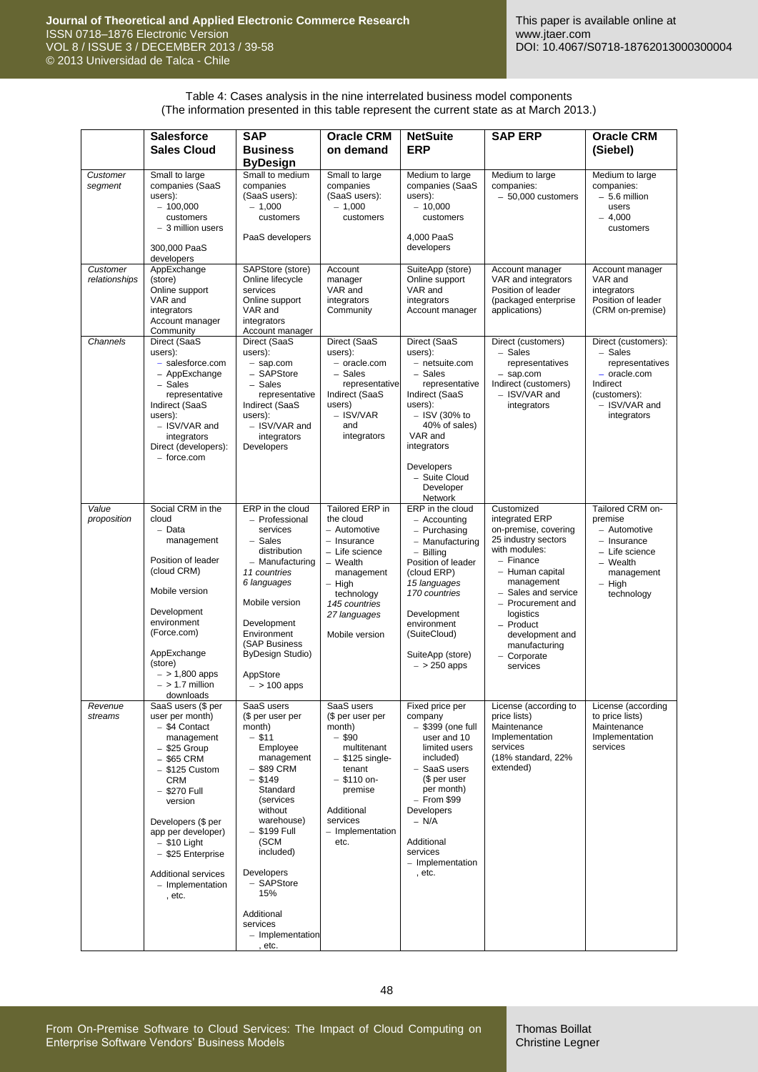Table 4: Cases analysis in the nine interrelated business model components (The information presented in this table represent the current state as at March 2013.)

|                                       | <b>Salesforce</b>                                                                                                                                                                                                                                                                                                   | <b>SAP</b>                                                                                                                                                                                                                                                                                  | <b>Oracle CRM</b>                                                                                                                                                                                  | <b>NetSuite</b>                                                                                                                                                                                                                                                                                  | <b>SAP ERP</b>                                                                                                                                                                                                                                                                      | <b>Oracle CRM</b>                                                                                                                                                                                                    |
|---------------------------------------|---------------------------------------------------------------------------------------------------------------------------------------------------------------------------------------------------------------------------------------------------------------------------------------------------------------------|---------------------------------------------------------------------------------------------------------------------------------------------------------------------------------------------------------------------------------------------------------------------------------------------|----------------------------------------------------------------------------------------------------------------------------------------------------------------------------------------------------|--------------------------------------------------------------------------------------------------------------------------------------------------------------------------------------------------------------------------------------------------------------------------------------------------|-------------------------------------------------------------------------------------------------------------------------------------------------------------------------------------------------------------------------------------------------------------------------------------|----------------------------------------------------------------------------------------------------------------------------------------------------------------------------------------------------------------------|
|                                       | <b>Sales Cloud</b>                                                                                                                                                                                                                                                                                                  | <b>Business</b><br><b>ByDesign</b>                                                                                                                                                                                                                                                          | on demand                                                                                                                                                                                          | <b>ERP</b>                                                                                                                                                                                                                                                                                       |                                                                                                                                                                                                                                                                                     | (Siebel)                                                                                                                                                                                                             |
| Customer<br>segment                   | Small to large<br>companies (SaaS<br>users):<br>$-100,000$<br>customers<br>- 3 million users<br>300,000 PaaS                                                                                                                                                                                                        | Small to medium<br>companies<br>(SaaS users):<br>$-1,000$<br>customers<br>PaaS developers                                                                                                                                                                                                   | Small to large<br>companies<br>(SaaS users):<br>$-1,000$<br>customers                                                                                                                              | Medium to large<br>companies (SaaS<br>users):<br>$-10,000$<br>customers<br>4,000 PaaS<br>developers                                                                                                                                                                                              | Medium to large<br>companies:<br>$-50,000$ customers                                                                                                                                                                                                                                | Medium to large<br>companies:<br>$-5.6$ million<br>users<br>$-4,000$<br>customers                                                                                                                                    |
| Customer<br>relationships<br>Channels | developers<br>AppExchange<br>(store)<br>Online support<br>VAR and<br>integrators<br>Account manager<br>Community<br>Direct (SaaS<br>users):<br>- salesforce.com<br>- AppExchange<br>- Sales<br>representative<br>Indirect (SaaS<br>users):<br>- ISV/VAR and<br>integrators<br>Direct (developers):<br>$-$ force.com | SAPStore (store)<br>Online lifecycle<br>services<br>Online support<br>VAR and<br>integrators<br>Account manager<br>Direct (SaaS<br>users):<br>$-$ sap.com<br>- SAPStore<br>- Sales<br>representative<br>Indirect (SaaS<br>users):<br>- ISV/VAR and<br>integrators<br>Developers             | Account<br>manager<br>VAR and<br>integrators<br>Community<br>Direct (SaaS<br>users):<br>- oracle.com<br>$-$ Sales<br>representative<br>Indirect (SaaS<br>users)<br>- ISV/VAR<br>and<br>integrators | SuiteApp (store)<br>Online support<br>VAR and<br>integrators<br>Account manager<br>Direct (SaaS<br>users):<br>- netsuite.com<br>- Sales<br>representative<br>Indirect (SaaS<br>users):<br>$-$ ISV (30% to<br>40% of sales)<br>VAR and<br>integrators<br>Developers<br>- Suite Cloud<br>Developer | Account manager<br>VAR and integrators<br>Position of leader<br>(packaged enterprise)<br>applications)<br>Direct (customers)<br>- Sales<br>representatives<br>$-$ sap.com<br>Indirect (customers)<br>- ISV/VAR and<br>integrators                                                   | Account manager<br>VAR and<br>integrators<br>Position of leader<br>(CRM on-premise)<br>Direct (customers):<br>- Sales<br>representatives<br>- oracle.com<br>Indirect<br>(customers):<br>- ISV/VAR and<br>integrators |
| Value<br>proposition                  | Social CRM in the<br>cloud<br>$-$ Data<br>management<br>Position of leader<br>(cloud CRM)<br>Mobile version<br>Development<br>environment<br>(Force.com)<br>AppExchange<br>(store)<br>$-$ > 1,800 apps<br>$-$ > 1.7 million<br>downloads                                                                            | ERP in the cloud<br>- Professional<br>services<br>- Sales<br>distribution<br>- Manufacturing<br>11 countries<br>6 languages<br>Mobile version<br>Development<br>Environment<br>(SAP Business<br><b>ByDesign Studio)</b><br>AppStore<br>$-$ > 100 apps                                       | Tailored ERP in<br>the cloud<br>- Automotive<br>- Insurance<br>- Life science<br>- Wealth<br>management<br>- High<br>technology<br>145 countries<br>27 languages<br>Mobile version                 | Network<br>ERP in the cloud<br>- Accounting<br>- Purchasing<br>- Manufacturing<br>$-$ Billing<br>Position of leader<br>(cloud ERP)<br>15 languages<br>170 countries<br>Development<br>environment<br>(SuiteCloud)<br>SuiteApp (store)<br>$-$ > 250 apps                                          | Customized<br>integrated ERP<br>on-premise, covering<br>25 industry sectors<br>with modules:<br>$-$ Finance<br>- Human capital<br>management<br>- Sales and service<br>- Procurement and<br>logistics<br>- Product<br>development and<br>manufacturing<br>$-$ Corporate<br>services | Tailored CRM on-<br>premise<br>- Automotive<br>- Insurance<br>- Life science<br>- Wealth<br>management<br>– High<br>technology                                                                                       |
| Revenue<br>streams                    | SaaS users (\$ per<br>user per month)<br>- \$4 Contact<br>management<br>$-$ \$25 Group<br>$-$ \$65 CRM<br>$-$ \$125 Custom<br>CRM<br>- \$270 Full<br>version<br>Developers (\$ per<br>app per developer)<br>$-$ \$10 Light<br>- \$25 Enterprise<br><b>Additional services</b><br>- Implementation<br>, etc.         | SaaS users<br>(\$ per user per<br>month)<br>$-$ \$11<br>Employee<br>management<br>- \$89 CRM<br>$-$ \$149<br>Standard<br>(services<br>without<br>warehouse)<br>$-$ \$199 Full<br>(SCM<br>included)<br>Developers<br>- SAPStore<br>15%<br>Additional<br>services<br>- Implementation<br>etc. | SaaS users<br>(\$ per user per<br>month)<br>$-$ \$90<br>multitenant<br>$-$ \$125 single-<br>tenant<br>$-$ \$110 on-<br>premise<br>Additional<br>services<br>$-$ Implementation<br>etc.             | Fixed price per<br>company<br>$-$ \$399 (one full<br>user and 10<br>limited users<br>included)<br>SaaS users<br>(\$ per user<br>per month)<br>- From \$99<br><b>Developers</b><br>$-$ N/A<br>Additional<br>services<br>- Implementation<br>, etc.                                                | License (according to<br>price lists)<br>Maintenance<br>Implementation<br>services<br>(18% standard, 22%<br>extended)                                                                                                                                                               | License (according<br>to price lists)<br>Maintenance<br>Implementation<br>services                                                                                                                                   |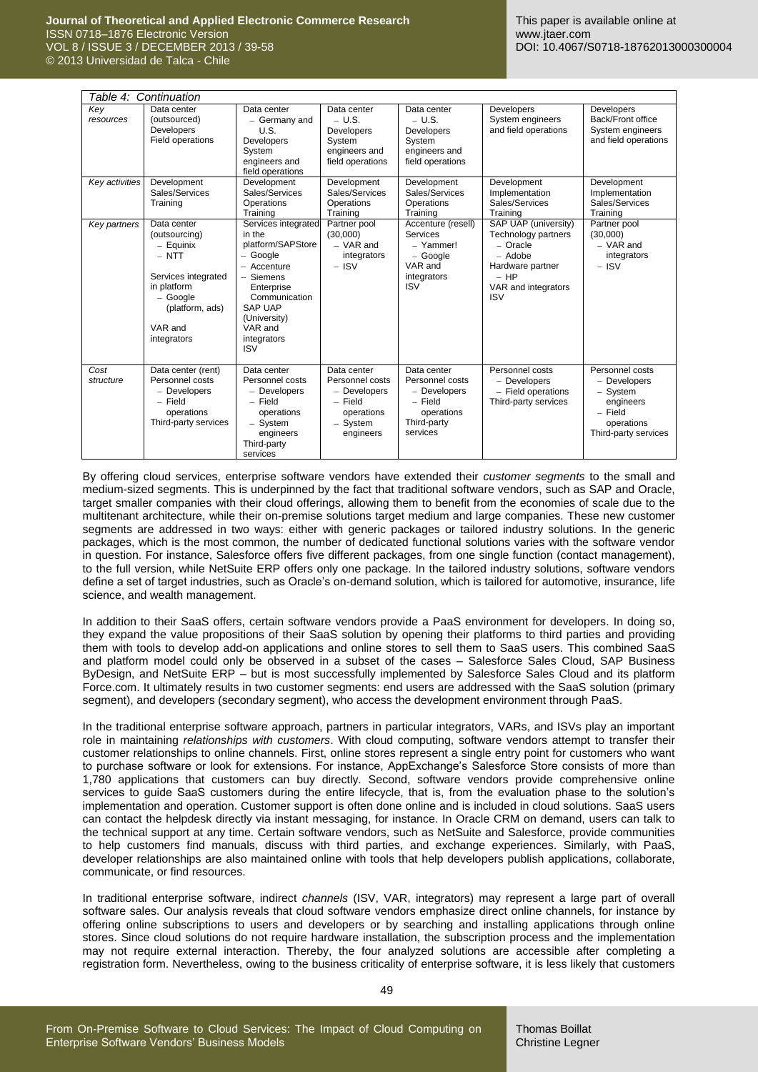| Table 4: Continuation |                                                                                                                                                     |                                                                                                                                                                                                       |                                                                                                      |                                                                                                      |                                                                                                                                       |                                                                                                               |  |
|-----------------------|-----------------------------------------------------------------------------------------------------------------------------------------------------|-------------------------------------------------------------------------------------------------------------------------------------------------------------------------------------------------------|------------------------------------------------------------------------------------------------------|------------------------------------------------------------------------------------------------------|---------------------------------------------------------------------------------------------------------------------------------------|---------------------------------------------------------------------------------------------------------------|--|
| Key<br>resources      | Data center<br>(outsourced)<br>Developers<br>Field operations                                                                                       | Data center<br>- Germany and<br>U.S.<br>Developers<br>System<br>engineers and<br>field operations                                                                                                     | Data center<br>$- U.S.$<br>Developers<br>System<br>engineers and<br>field operations                 | Data center<br>$- U.S.$<br>Developers<br>System<br>engineers and<br>field operations                 | <b>Developers</b><br>System engineers<br>and field operations                                                                         | Developers<br>Back/Front office<br>System engineers<br>and field operations                                   |  |
| Key activities        | Development<br>Sales/Services<br>Training                                                                                                           | Development<br>Sales/Services<br>Operations<br>Training                                                                                                                                               | Development<br>Sales/Services<br>Operations<br>Training                                              | Development<br>Sales/Services<br>Operations<br>Training                                              | Development<br>Implementation<br>Sales/Services<br>Training                                                                           | Development<br>Implementation<br>Sales/Services<br>Training                                                   |  |
| Key partners          | Data center<br>(outsourcing)<br>- Equinix<br>$-$ NTT<br>Services integrated<br>in platform<br>- Google<br>(platform, ads)<br>VAR and<br>integrators | Services integrated<br>in the<br>platform/SAPStore<br>- Google<br>$-$ Accenture<br>- Siemens<br>Enterprise<br>Communication<br><b>SAP UAP</b><br>(University)<br>VAR and<br>integrators<br><b>ISV</b> | Partner pool<br>(30,000)<br>$-$ VAR and<br>integrators<br>$-$ ISV                                    | Accenture (resell)<br>Services<br>- Yammer!<br>$-$ Google<br>VAR and<br>integrators<br><b>ISV</b>    | SAP UAP (university)<br>Technology partners<br>- Oracle<br>- Adobe<br>Hardware partner<br>$-$ HP<br>VAR and integrators<br><b>ISV</b> | Partner pool<br>(30,000)<br>- VAR and<br>integrators<br>$-$ ISV                                               |  |
| Cost<br>structure     | Data center (rent)<br>Personnel costs<br>- Developers<br>$-$ Field<br>operations<br>Third-party services                                            | Data center<br>Personnel costs<br>- Developers<br>$-$ Field<br>operations<br>$-$ System<br>engineers<br>Third-party<br>services                                                                       | Data center<br>Personnel costs<br>- Developers<br>$-$ Field<br>operations<br>$-$ System<br>engineers | Data center<br>Personnel costs<br>- Developers<br>$-$ Field<br>operations<br>Third-party<br>services | Personnel costs<br>- Developers<br>- Field operations<br>Third-party services                                                         | Personnel costs<br>- Developers<br>$-$ System<br>engineers<br>$-$ Field<br>operations<br>Third-party services |  |

By offering cloud services, enterprise software vendors have extended their *customer segments* to the small and medium-sized segments. This is underpinned by the fact that traditional software vendors, such as SAP and Oracle, target smaller companies with their cloud offerings, allowing them to benefit from the economies of scale due to the multitenant architecture, while their on-premise solutions target medium and large companies. These new customer segments are addressed in two ways: either with generic packages or tailored industry solutions. In the generic packages, which is the most common, the number of dedicated functional solutions varies with the software vendor in question. For instance, Salesforce offers five different packages, from one single function (contact management), to the full version, while NetSuite ERP offers only one package. In the tailored industry solutions, software vendors define a set of target industries, such as Oracle's on-demand solution, which is tailored for automotive, insurance, life science, and wealth management.

In addition to their SaaS offers, certain software vendors provide a PaaS environment for developers. In doing so, they expand the value propositions of their SaaS solution by opening their platforms to third parties and providing them with tools to develop add-on applications and online stores to sell them to SaaS users. This combined SaaS and platform model could only be observed in a subset of the cases – Salesforce Sales Cloud, SAP Business ByDesign, and NetSuite ERP – but is most successfully implemented by Salesforce Sales Cloud and its platform Force.com. It ultimately results in two customer segments: end users are addressed with the SaaS solution (primary segment), and developers (secondary segment), who access the development environment through PaaS.

In the traditional enterprise software approach, partners in particular integrators, VARs, and ISVs play an important role in maintaining *relationships with customers*. With cloud computing, software vendors attempt to transfer their customer relationships to online channels. First, online stores represent a single entry point for customers who want to purchase software or look for extensions. For instance, AppExchange's Salesforce Store consists of more than 1,780 applications that customers can buy directly. Second, software vendors provide comprehensive online services to guide SaaS customers during the entire lifecycle, that is, from the evaluation phase to the solution's implementation and operation. Customer support is often done online and is included in cloud solutions. SaaS users can contact the helpdesk directly via instant messaging, for instance. In Oracle CRM on demand, users can talk to the technical support at any time. Certain software vendors, such as NetSuite and Salesforce, provide communities to help customers find manuals, discuss with third parties, and exchange experiences. Similarly, with PaaS, developer relationships are also maintained online with tools that help developers publish applications, collaborate, communicate, or find resources.

In traditional enterprise software, indirect *channels* (ISV, VAR, integrators) may represent a large part of overall software sales. Our analysis reveals that cloud software vendors emphasize direct online channels, for instance by offering online subscriptions to users and developers or by searching and installing applications through online stores. Since cloud solutions do not require hardware installation, the subscription process and the implementation may not require external interaction. Thereby, the four analyzed solutions are accessible after completing a registration form. Nevertheless, owing to the business criticality of enterprise software, it is less likely that customers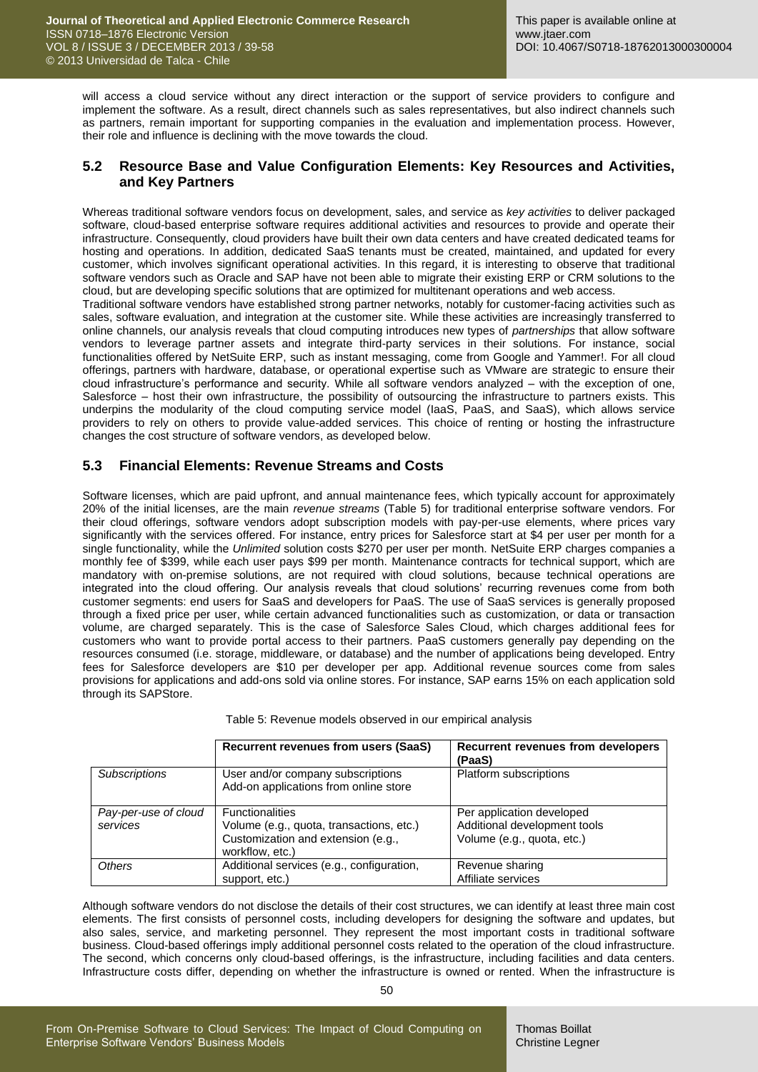will access a cloud service without any direct interaction or the support of service providers to configure and implement the software. As a result, direct channels such as sales representatives, but also indirect channels such as partners, remain important for supporting companies in the evaluation and implementation process. However, their role and influence is declining with the move towards the cloud.

#### <span id="page-11-0"></span>**5.2 Resource Base and Value Configuration Elements: Key Resources and Activities, and Key Partners**

Whereas traditional software vendors focus on development, sales, and service as *key activities* to deliver packaged software, cloud-based enterprise software requires additional activities and resources to provide and operate their infrastructure. Consequently, cloud providers have built their own data centers and have created dedicated teams for hosting and operations. In addition, dedicated SaaS tenants must be created, maintained, and updated for every customer, which involves significant operational activities. In this regard, it is interesting to observe that traditional software vendors such as Oracle and SAP have not been able to migrate their existing ERP or CRM solutions to the cloud, but are developing specific solutions that are optimized for multitenant operations and web access.

Traditional software vendors have established strong partner networks, notably for customer-facing activities such as sales, software evaluation, and integration at the customer site. While these activities are increasingly transferred to online channels, our analysis reveals that cloud computing introduces new types of *partnerships* that allow software vendors to leverage partner assets and integrate third-party services in their solutions. For instance, social functionalities offered by NetSuite ERP, such as instant messaging, come from Google and Yammer!. For all cloud offerings, partners with hardware, database, or operational expertise such as VMware are strategic to ensure their cloud infrastructure's performance and security. While all software vendors analyzed – with the exception of one, Salesforce – host their own infrastructure, the possibility of outsourcing the infrastructure to partners exists. This underpins the modularity of the cloud computing service model (IaaS, PaaS, and SaaS), which allows service providers to rely on others to provide value-added services. This choice of renting or hosting the infrastructure changes the cost structure of software vendors, as developed below.

#### <span id="page-11-1"></span>**5.3 Financial Elements: Revenue Streams and Costs**

Software licenses, which are paid upfront, and annual maintenance fees, which typically account for approximately 20% of the initial licenses, are the main *revenue streams* [\(Table 5](#page-11-2)) for traditional enterprise software vendors. For their cloud offerings, software vendors adopt subscription models with pay-per-use elements, where prices vary significantly with the services offered. For instance, entry prices for Salesforce start at \$4 per user per month for a single functionality, while the *Unlimited* solution costs \$270 per user per month. NetSuite ERP charges companies a monthly fee of \$399, while each user pays \$99 per month. Maintenance contracts for technical support, which are mandatory with on-premise solutions, are not required with cloud solutions, because technical operations are integrated into the cloud offering. Our analysis reveals that cloud solutions' recurring revenues come from both customer segments: end users for SaaS and developers for PaaS. The use of SaaS services is generally proposed through a fixed price per user, while certain advanced functionalities such as customization, or data or transaction volume, are charged separately. This is the case of Salesforce Sales Cloud, which charges additional fees for customers who want to provide portal access to their partners. PaaS customers generally pay depending on the resources consumed (i.e. storage, middleware, or database) and the number of applications being developed. Entry fees for Salesforce developers are \$10 per developer per app. Additional revenue sources come from sales provisions for applications and add-ons sold via online stores. For instance, SAP earns 15% on each application sold through its SAPStore.

<span id="page-11-2"></span>

|                      | <b>Recurrent revenues from users (SaaS)</b>                                | <b>Recurrent revenues from developers</b><br>(PaaS) |
|----------------------|----------------------------------------------------------------------------|-----------------------------------------------------|
| <b>Subscriptions</b> | User and/or company subscriptions<br>Add-on applications from online store | Platform subscriptions                              |
| Pay-per-use of cloud | <b>Functionalities</b>                                                     | Per application developed                           |
| services             | Volume (e.g., quota, transactions, etc.)                                   | Additional development tools                        |
|                      | Customization and extension (e.g.,<br>workflow, etc.)                      | Volume (e.g., quota, etc.)                          |
| <b>Others</b>        | Additional services (e.g., configuration,                                  | Revenue sharing                                     |
|                      | support, etc.)                                                             | Affiliate services                                  |

Table 5: Revenue models observed in our empirical analysis

Although software vendors do not disclose the details of their cost structures, we can identify at least three main cost elements. The first consists of personnel costs, including developers for designing the software and updates, but also sales, service, and marketing personnel. They represent the most important costs in traditional software business. Cloud-based offerings imply additional personnel costs related to the operation of the cloud infrastructure. The second, which concerns only cloud-based offerings, is the infrastructure, including facilities and data centers. Infrastructure costs differ, depending on whether the infrastructure is owned or rented. When the infrastructure is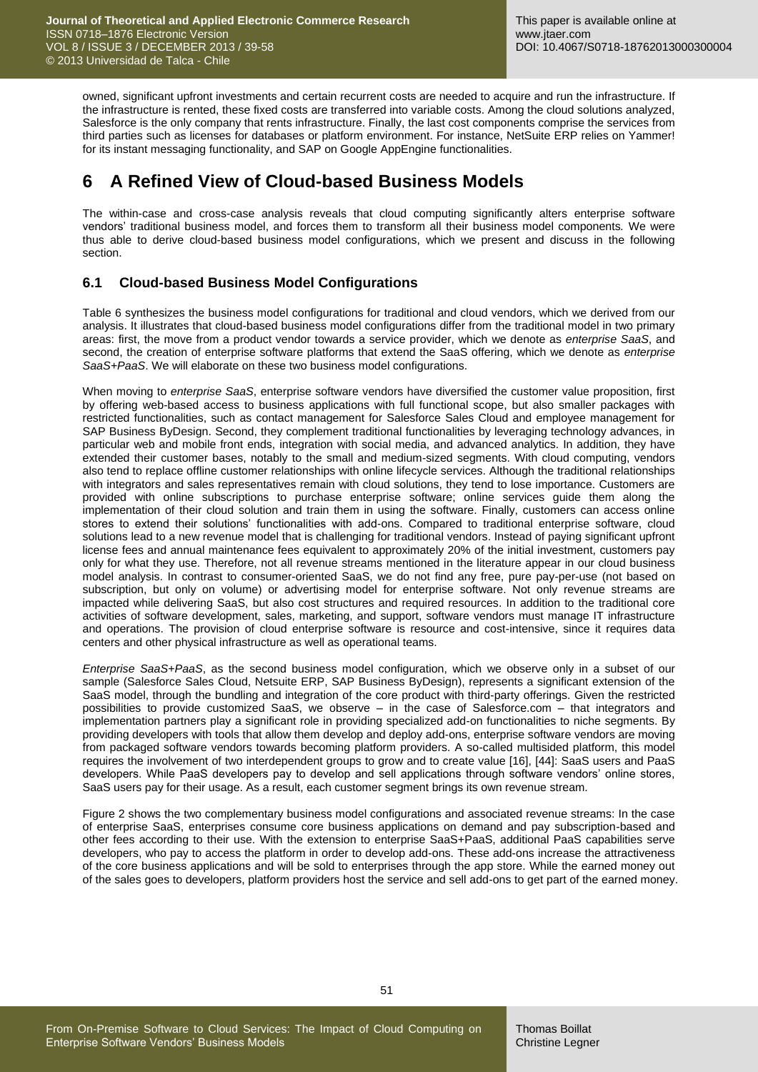owned, significant upfront investments and certain recurrent costs are needed to acquire and run the infrastructure. If the infrastructure is rented, these fixed costs are transferred into variable costs. Among the cloud solutions analyzed, Salesforce is the only company that rents infrastructure. Finally, the last cost components comprise the services from third parties such as licenses for databases or platform environment. For instance, NetSuite ERP relies on Yammer! for its instant messaging functionality, and SAP on Google AppEngine functionalities.

# **6 A Refined View of Cloud-based Business Models**

The within-case and cross-case analysis reveals that cloud computing significantly alters enterprise software vendors' traditional business model, and forces them to transform all their business model components*.* We were thus able to derive cloud-based business model configurations, which we present and discuss in the following section.

### **6.1 Cloud-based Business Model Configurations**

[Table 6](#page-13-0) synthesizes the business model configurations for traditional and cloud vendors, which we derived from our analysis. It illustrates that cloud-based business model configurations differ from the traditional model in two primary areas: first, the move from a product vendor towards a service provider, which we denote as *enterprise SaaS*, and second, the creation of enterprise software platforms that extend the SaaS offering, which we denote as *enterprise SaaS+PaaS*. We will elaborate on these two business model configurations.

When moving to *enterprise SaaS*, enterprise software vendors have diversified the customer value proposition, first by offering web-based access to business applications with full functional scope, but also smaller packages with restricted functionalities, such as contact management for Salesforce Sales Cloud and employee management for SAP Business ByDesign. Second, they complement traditional functionalities by leveraging technology advances, in particular web and mobile front ends, integration with social media, and advanced analytics. In addition, they have extended their customer bases, notably to the small and medium-sized segments. With cloud computing, vendors also tend to replace offline customer relationships with online lifecycle services. Although the traditional relationships with integrators and sales representatives remain with cloud solutions, they tend to lose importance. Customers are provided with online subscriptions to purchase enterprise software; online services guide them along the implementation of their cloud solution and train them in using the software. Finally, customers can access online stores to extend their solutions' functionalities with add-ons. Compared to traditional enterprise software, cloud solutions lead to a new revenue model that is challenging for traditional vendors. Instead of paying significant upfront license fees and annual maintenance fees equivalent to approximately 20% of the initial investment, customers pay only for what they use. Therefore, not all revenue streams mentioned in the literature appear in our cloud business model analysis. In contrast to consumer-oriented SaaS, we do not find any free, pure pay-per-use (not based on subscription, but only on volume) or advertising model for enterprise software. Not only revenue streams are impacted while delivering SaaS, but also cost structures and required resources. In addition to the traditional core activities of software development, sales, marketing, and support, software vendors must manage IT infrastructure and operations. The provision of cloud enterprise software is resource and cost-intensive, since it requires data centers and other physical infrastructure as well as operational teams.

*Enterprise SaaS+PaaS*, as the second business model configuration, which we observe only in a subset of our sample (Salesforce Sales Cloud, Netsuite ERP, SAP Business ByDesign), represents a significant extension of the SaaS model, through the bundling and integration of the core product with third-party offerings. Given the restricted possibilities to provide customized SaaS, we observe – in the case of Salesforce.com – that integrators and implementation partners play a significant role in providing specialized add-on functionalities to niche segments. By providing developers with tools that allow them develop and deploy add-ons, enterprise software vendors are moving from packaged software vendors towards becoming platform providers. A so-called multisided platform, this model requires the involvement of two interdependent groups to grow and to create value [16], [44]: SaaS users and PaaS developers. While PaaS developers pay to develop and sell applications through software vendors' online stores, [SaaS users pay for their usage. As a result, each customer segment brings its own revenue stream.](#page-14-0) 

[Figure 2](#page-14-0) shows the two complementary business model configurations and associated revenue streams: In the case of enterprise SaaS, enterprises consume core business applications on demand and pay subscription-based and other fees according to their use. With the extension to enterprise SaaS+PaaS, additional PaaS capabilities serve developers, who pay to access the platform in order to develop add-ons. These add-ons increase the attractiveness of the core business applications and will be sold to enterprises through the app store. While the earned money out of the sales goes to developers, platform providers host the service and sell add-ons to get part of the earned money.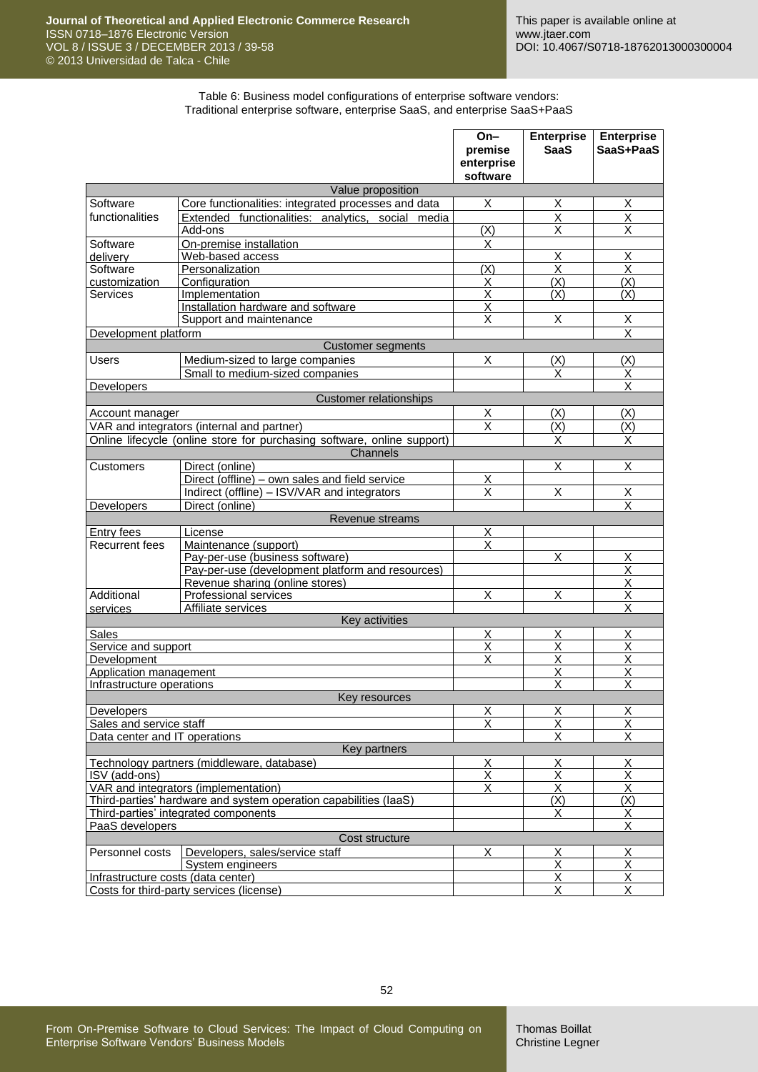#### Table 6: Business model configurations of enterprise software vendors: Traditional enterprise software, enterprise SaaS, and enterprise SaaS+PaaS

<span id="page-13-0"></span>

|                                       |                                                                         | $On-$<br>premise<br>enterprise                     | <b>Enterprise</b><br><b>SaaS</b>                   | <b>Enterprise</b><br>SaaS+PaaS                     |
|---------------------------------------|-------------------------------------------------------------------------|----------------------------------------------------|----------------------------------------------------|----------------------------------------------------|
|                                       |                                                                         | software                                           |                                                    |                                                    |
|                                       | Value proposition                                                       |                                                    |                                                    |                                                    |
| Software                              | Core functionalities: integrated processes and data                     | Χ                                                  | Х                                                  | х                                                  |
| functionalities                       | Extended functionalities: analytics, social media                       |                                                    | $\overline{\mathsf{X}}$                            | $\overline{\mathsf{X}}$                            |
|                                       | Add-ons                                                                 | (X)                                                | Χ                                                  | х                                                  |
| Software                              | On-premise installation                                                 | X                                                  |                                                    |                                                    |
| deliverv                              | Web-based access                                                        |                                                    | X                                                  | X                                                  |
| Software                              | Personalization                                                         | (X)                                                | $\overline{\mathsf{x}}$                            | $\overline{\mathsf{x}}$                            |
| customization                         | Configuration                                                           | Χ                                                  | (X)                                                | (X)                                                |
| Services                              | Implementation                                                          | $\overline{\mathsf{x}}$                            | (X)                                                | (X)                                                |
|                                       | Installation hardware and software                                      | X                                                  |                                                    |                                                    |
|                                       | Support and maintenance                                                 | $\overline{\mathsf{x}}$                            | X                                                  | Χ                                                  |
| Development platform                  |                                                                         |                                                    |                                                    | $\overline{\mathsf{x}}$                            |
|                                       | <b>Customer segments</b>                                                |                                                    |                                                    |                                                    |
| Users                                 | Medium-sized to large companies                                         | X                                                  | (X)                                                | (X)                                                |
|                                       | Small to medium-sized companies                                         |                                                    | x                                                  | Χ                                                  |
| <b>Developers</b>                     |                                                                         |                                                    |                                                    | Χ                                                  |
|                                       | <b>Customer relationships</b>                                           |                                                    |                                                    |                                                    |
| Account manager                       |                                                                         | $\frac{X}{X}$                                      | (X)                                                | (X)                                                |
|                                       | VAR and integrators (internal and partner)                              |                                                    | (X)                                                | (X)                                                |
|                                       | Online lifecycle (online store for purchasing software, online support) |                                                    | X                                                  | Χ                                                  |
|                                       | Channels                                                                |                                                    |                                                    |                                                    |
| Customers                             | Direct (online)                                                         |                                                    | Χ                                                  | Χ                                                  |
|                                       | Direct (offline) - own sales and field service                          | Χ                                                  |                                                    |                                                    |
|                                       | Indirect (offline) - ISV/VAR and integrators                            | $\overline{\mathsf{x}}$                            | X                                                  | Χ                                                  |
| Developers                            | Direct (online)                                                         |                                                    |                                                    | X                                                  |
|                                       | <b>Revenue streams</b>                                                  |                                                    |                                                    |                                                    |
| Entry fees                            | License                                                                 | X                                                  |                                                    |                                                    |
| <b>Recurrent fees</b>                 | Maintenance (support)                                                   | X                                                  |                                                    |                                                    |
|                                       | Pay-per-use (business software)                                         |                                                    | X                                                  | Χ                                                  |
|                                       | Pay-per-use (development platform and resources)                        |                                                    |                                                    | $\overline{\mathsf{x}}$                            |
|                                       | Revenue sharing (online stores)                                         |                                                    |                                                    | Χ                                                  |
| Additional                            | <b>Professional services</b>                                            | X                                                  | X                                                  | $\overline{\mathsf{X}}$                            |
| services                              | Affiliate services                                                      |                                                    |                                                    | $\overline{\mathsf{x}}$                            |
|                                       | Key activities                                                          |                                                    |                                                    |                                                    |
| Sales                                 |                                                                         | X                                                  | Χ                                                  | Χ                                                  |
| Service and support                   |                                                                         | X                                                  | $\overline{\mathsf{x}}$                            | X                                                  |
|                                       |                                                                         | X                                                  | Χ                                                  | Χ                                                  |
| Development<br>Application management |                                                                         |                                                    | $\overline{\mathsf{x}}$                            | $\overline{\mathsf{x}}$                            |
| Infrastructure operations             |                                                                         |                                                    | X                                                  | $\overline{\mathsf{x}}$                            |
|                                       | Key resources                                                           |                                                    |                                                    |                                                    |
| <b>Developers</b>                     |                                                                         |                                                    |                                                    |                                                    |
|                                       |                                                                         | $\overline{\mathsf{X}}$<br>$\overline{\mathsf{x}}$ | $\overline{\mathsf{X}}$<br>$\overline{\mathsf{x}}$ | $\overline{\mathsf{X}}$<br>$\overline{\mathsf{x}}$ |
| Sales and service staff               |                                                                         |                                                    | X                                                  | X                                                  |
| Data center and IT operations         |                                                                         |                                                    |                                                    |                                                    |
|                                       | Key partners                                                            |                                                    |                                                    |                                                    |
|                                       | Technology partners (middleware, database)                              | Χ                                                  | <u>Х</u>                                           | Χ                                                  |
| ISV (add-ons)                         |                                                                         | $\overline{X}$                                     | $\overline{X}$                                     | $\overline{\mathsf{x}}$                            |
|                                       | VAR and integrators (implementation)                                    | X                                                  | Χ                                                  | Χ                                                  |
|                                       | Third-parties' hardware and system operation capabilities (laaS)        |                                                    | (X)                                                | $\overline{(\mathsf{X})}$                          |
|                                       | Third-parties' integrated components                                    |                                                    | X                                                  | $\overline{X}$                                     |
| PaaS developers                       |                                                                         |                                                    |                                                    | Χ                                                  |
|                                       | Cost structure                                                          |                                                    |                                                    |                                                    |
| Personnel costs                       | Developers, sales/service staff                                         | Χ                                                  | х                                                  | X                                                  |
|                                       | System engineers                                                        |                                                    | <u>х</u>                                           | <u>х</u>                                           |
| Infrastructure costs (data center)    |                                                                         |                                                    | $\overline{\mathsf{x}}$                            | $\overline{X}$                                     |
|                                       | Costs for third-party services (license)                                |                                                    | Χ                                                  | X                                                  |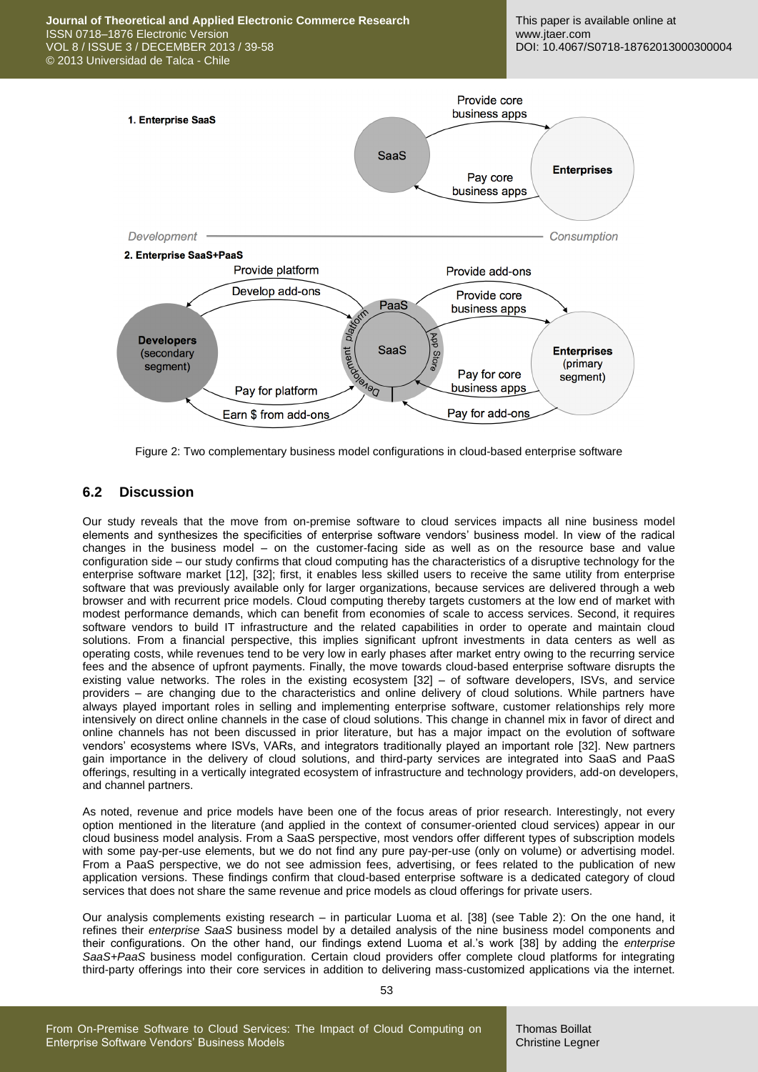

Figure 2: Two complementary business model configurations in cloud-based enterprise software

#### <span id="page-14-0"></span>**6.2 Discussion**

Our study reveals that the move from on-premise software to cloud services impacts all nine business model elements and synthesizes the specificities of enterprise software vendors' business model. In view of the radical changes in the business model – on the customer-facing side as well as on the resource base and value configuration side – our study confirms that cloud computing has the characteristics of a disruptive technology for the enterprise software market [12], [32]; first, it enables less skilled users to receive the same utility from enterprise software that was previously available only for larger organizations, because services are delivered through a web browser and with recurrent price models. Cloud computing thereby targets customers at the low end of market with modest performance demands, which can benefit from economies of scale to access services. Second, it requires software vendors to build IT infrastructure and the related capabilities in order to operate and maintain cloud solutions. From a financial perspective, this implies significant upfront investments in data centers as well as operating costs, while revenues tend to be very low in early phases after market entry owing to the recurring service fees and the absence of upfront payments. Finally, the move towards cloud-based enterprise software disrupts the existing value networks. The roles in the existing ecosystem [32] – of software developers, ISVs, and service providers – are changing due to the characteristics and online delivery of cloud solutions. While partners have always played important roles in selling and implementing enterprise software, customer relationships rely more intensively on direct online channels in the case of cloud solutions. This change in channel mix in favor of direct and online channels has not been discussed in prior literature, but has a major impact on the evolution of software vendors' ecosystems where ISVs, VARs, and integrators traditionally played an important role [32]. New partners gain importance in the delivery of cloud solutions, and third-party services are integrated into SaaS and PaaS offerings, resulting in a vertically integrated ecosystem of infrastructure and technology providers, add-on developers, and channel partners.

As noted, revenue and price models have been one of the focus areas of prior research. Interestingly, not every option mentioned in the literature (and applied in the context of consumer-oriented cloud services) appear in our cloud business model analysis. From a SaaS perspective, most vendors offer different types of subscription models with some pay-per-use elements, but we do not find any pure pay-per-use (only on volume) or advertising model. From a PaaS perspective, we do not see admission fees, advertising, or fees related to the publication of new application versions. These findings confirm that cloud-based enterprise software is a dedicated category of cloud services that does not share the same revenue and price models as cloud offerings for private users.

Our analysis complements existing research – in particular Luoma et al. [38] (see [Table 2\)](#page-4-0): On the one hand, it refines their *enterprise SaaS* business model by a detailed analysis of the nine business model components and their configurations. On the other hand, our findings extend Luoma et al.'s work [38] by adding the *enterprise SaaS+PaaS* business model configuration. Certain cloud providers offer complete cloud platforms for integrating third-party offerings into their core services in addition to delivering mass-customized applications via the internet.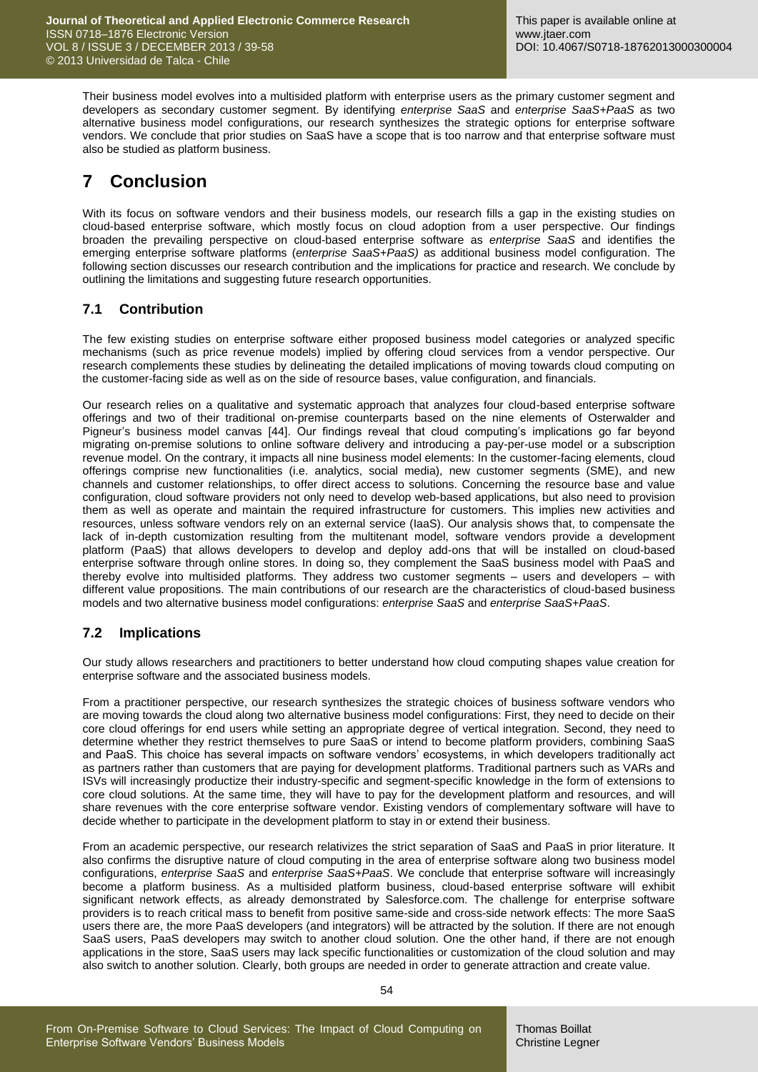Their business model evolves into a multisided platform with enterprise users as the primary customer segment and developers as secondary customer segment. By identifying *enterprise SaaS* and *enterprise SaaS+PaaS* as two alternative business model configurations, our research synthesizes the strategic options for enterprise software vendors. We conclude that prior studies on SaaS have a scope that is too narrow and that enterprise software must also be studied as platform business.

# **7 Conclusion**

With its focus on software vendors and their business models, our research fills a gap in the existing studies on cloud-based enterprise software, which mostly focus on cloud adoption from a user perspective. Our findings broaden the prevailing perspective on cloud-based enterprise software as *enterprise SaaS* and identifies the emerging enterprise software platforms (*enterprise SaaS+PaaS)* as additional business model configuration. The following section discusses our research contribution and the implications for practice and research. We conclude by outlining the limitations and suggesting future research opportunities.

### **7.1 Contribution**

The few existing studies on enterprise software either proposed business model categories or analyzed specific mechanisms (such as price revenue models) implied by offering cloud services from a vendor perspective. Our research complements these studies by delineating the detailed implications of moving towards cloud computing on the customer-facing side as well as on the side of resource bases, value configuration, and financials.

Our research relies on a qualitative and systematic approach that analyzes four cloud-based enterprise software offerings and two of their traditional on-premise counterparts based on the nine elements of Osterwalder and Pigneur's business model canvas [44]. Our findings reveal that cloud computing's implications go far beyond migrating on-premise solutions to online software delivery and introducing a pay-per-use model or a subscription revenue model. On the contrary, it impacts all nine business model elements: In the customer-facing elements, cloud offerings comprise new functionalities (i.e. analytics, social media), new customer segments (SME), and new channels and customer relationships, to offer direct access to solutions. Concerning the resource base and value configuration, cloud software providers not only need to develop web-based applications, but also need to provision them as well as operate and maintain the required infrastructure for customers. This implies new activities and resources, unless software vendors rely on an external service (IaaS). Our analysis shows that, to compensate the lack of in-depth customization resulting from the multitenant model, software vendors provide a development platform (PaaS) that allows developers to develop and deploy add-ons that will be installed on cloud-based enterprise software through online stores. In doing so, they complement the SaaS business model with PaaS and thereby evolve into multisided platforms. They address two customer segments – users and developers – with different value propositions. The main contributions of our research are the characteristics of cloud-based business models and two alternative business model configurations: *enterprise SaaS* and *enterprise SaaS+PaaS*.

### **7.2 Implications**

Our study allows researchers and practitioners to better understand how cloud computing shapes value creation for enterprise software and the associated business models.

From a practitioner perspective, our research synthesizes the strategic choices of business software vendors who are moving towards the cloud along two alternative business model configurations: First, they need to decide on their core cloud offerings for end users while setting an appropriate degree of vertical integration. Second, they need to determine whether they restrict themselves to pure SaaS or intend to become platform providers, combining SaaS and PaaS. This choice has several impacts on software vendors' ecosystems, in which developers traditionally act as partners rather than customers that are paying for development platforms. Traditional partners such as VARs and ISVs will increasingly productize their industry-specific and segment-specific knowledge in the form of extensions to core cloud solutions. At the same time, they will have to pay for the development platform and resources, and will share revenues with the core enterprise software vendor. Existing vendors of complementary software will have to decide whether to participate in the development platform to stay in or extend their business.

From an academic perspective, our research relativizes the strict separation of SaaS and PaaS in prior literature. It also confirms the disruptive nature of cloud computing in the area of enterprise software along two business model configurations, *enterprise SaaS* and *enterprise SaaS+PaaS*. We conclude that enterprise software will increasingly become a platform business. As a multisided platform business, cloud-based enterprise software will exhibit significant network effects, as already demonstrated by Salesforce.com. The challenge for enterprise software providers is to reach critical mass to benefit from positive same-side and cross-side network effects: The more SaaS users there are, the more PaaS developers (and integrators) will be attracted by the solution. If there are not enough SaaS users, PaaS developers may switch to another cloud solution. One the other hand, if there are not enough applications in the store, SaaS users may lack specific functionalities or customization of the cloud solution and may also switch to another solution. Clearly, both groups are needed in order to generate attraction and create value.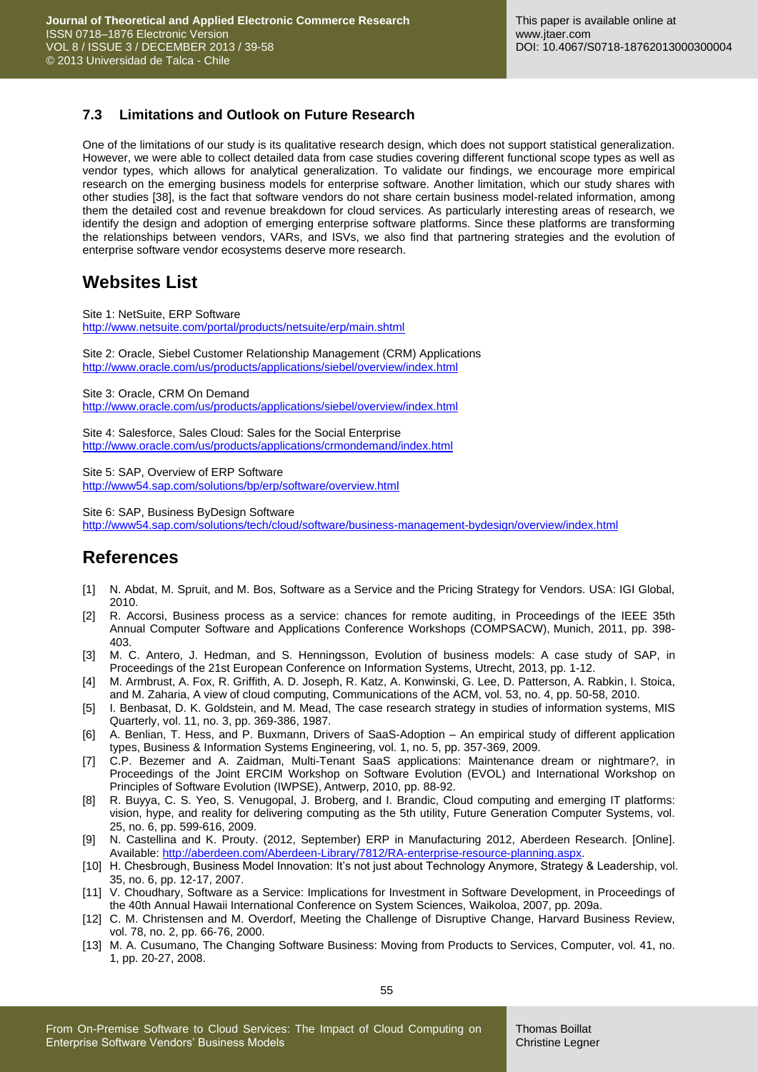### **7.3 Limitations and Outlook on Future Research**

One of the limitations of our study is its qualitative research design, which does not support statistical generalization. However, we were able to collect detailed data from case studies covering different functional scope types as well as vendor types, which allows for analytical generalization. To validate our findings, we encourage more empirical research on the emerging business models for enterprise software. Another limitation, which our study shares with other studies [38], is the fact that software vendors do not share certain business model-related information, among them the detailed cost and revenue breakdown for cloud services. As particularly interesting areas of research, we identify the design and adoption of emerging enterprise software platforms. Since these platforms are transforming the relationships between vendors, VARs, and ISVs, we also find that partnering strategies and the evolution of enterprise software vendor ecosystems deserve more research.

# **Websites List**

Site 1: NetSuite, ERP Software

<http://www.netsuite.com/portal/products/netsuite/erp/main.shtml>

Site 2: Oracle, Siebel Customer Relationship Management (CRM) Applications <http://www.oracle.com/us/products/applications/siebel/overview/index.html>

Site 3: Oracle, CRM On Demand

<http://www.oracle.com/us/products/applications/siebel/overview/index.html>

Site 4: Salesforce, Sales Cloud: Sales for the Social Enterprise <http://www.oracle.com/us/products/applications/crmondemand/index.html>

Site 5: SAP, Overview of ERP Software <http://www54.sap.com/solutions/bp/erp/software/overview.html>

Site 6: SAP, Business ByDesign Software <http://www54.sap.com/solutions/tech/cloud/software/business-management-bydesign/overview/index.html>

### **References**

- [1] N. Abdat, M. Spruit, and M. Bos, Software as a Service and the Pricing Strategy for Vendors. USA: IGI Global, 2010.
- [2] R. Accorsi, Business process as a service: chances for remote auditing, in Proceedings of the IEEE 35th Annual Computer Software and Applications Conference Workshops (COMPSACW), Munich, 2011, pp. 398- 403.
- [3] M. C. Antero, J. Hedman, and S. Henningsson, Evolution of business models: A case study of SAP, in Proceedings of the 21st European Conference on Information Systems, Utrecht, 2013, pp. 1-12.
- [4] M. Armbrust, A. Fox, R. Griffith, A. D. Joseph, R. Katz, A. Konwinski, G. Lee, D. Patterson, A. Rabkin, I. Stoica, and M. Zaharia, A view of cloud computing, Communications of the ACM, vol. 53, no. 4, pp. 50-58, 2010.
- [5] I. Benbasat, D. K. Goldstein, and M. Mead, The case research strategy in studies of information systems, MIS Quarterly, vol. 11, no. 3, pp. 369-386, 1987.
- [6] A. Benlian, T. Hess, and P. Buxmann, Drivers of SaaS-Adoption An empirical study of different application types, Business & Information Systems Engineering, vol. 1, no. 5, pp. 357-369, 2009.
- [7] C.P. Bezemer and A. Zaidman, Multi-Tenant SaaS applications: Maintenance dream or nightmare?, in Proceedings of the Joint ERCIM Workshop on Software Evolution (EVOL) and International Workshop on Principles of Software Evolution (IWPSE), Antwerp, 2010, pp. 88-92.
- [8] R. Buyya, C. S. Yeo, S. Venugopal, J. Broberg, and I. Brandic, Cloud computing and emerging IT platforms: vision, hype, and reality for delivering computing as the 5th utility, Future Generation Computer Systems, vol. 25, no. 6, pp. 599-616, 2009.
- [9] N. Castellina and K. Prouty. (2012, September) ERP in Manufacturing 2012, Aberdeen Research. [Online]. Available: [http://aberdeen.com/Aberdeen-Library/7812/RA-enterprise-resource-planning.aspx.](http://aberdeen.com/Aberdeen-Library/7812/RA-enterprise-resource-planning.aspx)
- [10] H. Chesbrough, Business Model Innovation: It's not just about Technology Anymore, Strategy & Leadership, vol. 35, no. 6, pp. 12-17, 2007.
- [11] V. Choudhary, Software as a Service: Implications for Investment in Software Development, in Proceedings of the 40th Annual Hawaii International Conference on System Sciences, Waikoloa, 2007, pp. 209a.
- [12] C. M. Christensen and M. Overdorf, Meeting the Challenge of Disruptive Change, Harvard Business Review, vol. 78, no. 2, pp. 66-76, 2000.
- [13] M. A. Cusumano, The Changing Software Business: Moving from Products to Services, Computer, vol. 41, no. 1, pp. 20-27, 2008.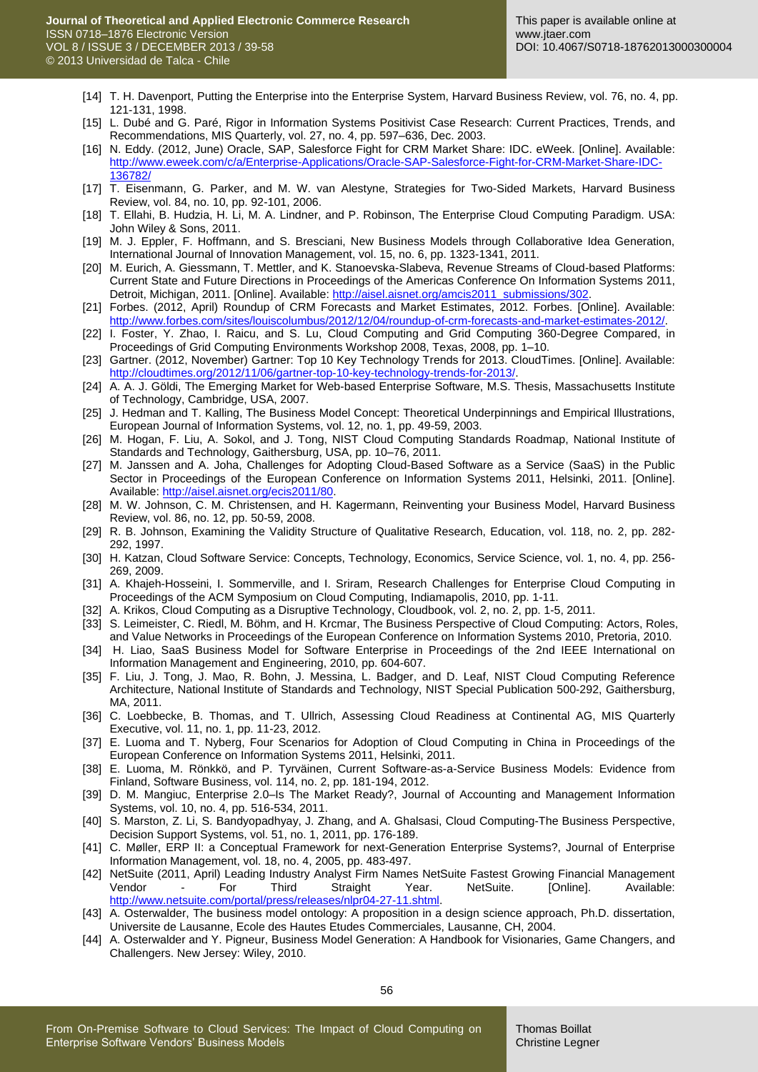- [14] T. H. Davenport, Putting the Enterprise into the Enterprise System, Harvard Business Review, vol. 76, no. 4, pp. 121-131, 1998.
- [15] L. Dubé and G. Paré, Rigor in Information Systems Positivist Case Research: Current Practices, Trends, and Recommendations, MIS Quarterly, vol. 27, no. 4, pp. 597–636, Dec. 2003.
- [16] N. Eddy. (2012, June) Oracle, SAP, Salesforce Fight for CRM Market Share: IDC. eWeek. [Online]. Available: [http://www.eweek.com/c/a/Enterprise-Applications/Oracle-SAP-Salesforce-Fight-for-CRM-Market-Share-IDC-](http://www.eweek.com/c/a/Enterprise-Applications/Oracle-SAP-Salesforce-Fight-for-CRM-Market-Share-IDC-136782/)[136782/](http://www.eweek.com/c/a/Enterprise-Applications/Oracle-SAP-Salesforce-Fight-for-CRM-Market-Share-IDC-136782/)
- [17] T. Eisenmann, G. Parker, and M. W. van Alestyne, Strategies for Two-Sided Markets, Harvard Business Review, vol. 84, no. 10, pp. 92-101, 2006.
- [18] T. Ellahi, B. Hudzia, H. Li, M. A. Lindner, and P. Robinson, The Enterprise Cloud Computing Paradigm. USA: John Wiley & Sons, 2011.
- [19] M. J. Eppler, F. Hoffmann, and S. Bresciani, New Business Models through Collaborative Idea Generation, International Journal of Innovation Management, vol. 15, no. 6, pp. 1323-1341, 2011.
- [20] M. Eurich, A. Giessmann, T. Mettler, and K. Stanoevska-Slabeva, Revenue Streams of Cloud-based Platforms: Current State and Future Directions in Proceedings of the Americas Conference On Information Systems 2011, Detroit, Michigan, 2011. [Online]. Available: [http://aisel.aisnet.org/amcis2011\\_submissions/302.](http://aisel.aisnet.org/amcis2011_submissions/302)
- [21] Forbes. (2012, April) Roundup of CRM Forecasts and Market Estimates, 2012. Forbes. [Online]. Available: [http://www.forbes.com/sites/louiscolumbus/2012/12/04/roundup-of-crm-forecasts-and-market-estimates-2012/.](http://www.forbes.com/sites/louiscolumbus/2012/12/04/roundup-of-crm-forecasts-and-market-estimates-2012/)
- [22] I. Foster, Y. Zhao, I. Raicu, and S. Lu, Cloud Computing and Grid Computing 360-Degree Compared, in Proceedings of Grid Computing Environments Workshop 2008, Texas, 2008, pp. 1–10.
- [23] Gartner. (2012, November) Gartner: Top 10 Key Technology Trends for 2013. CloudTimes. [Online]. Available: [http://cloudtimes.org/2012/11/06/gartner-top-10-key-technology-trends-for-2013/.](http://cloudtimes.org/2012/11/06/gartner-top-10-key-technology-trends-for-2013/)
- [24] A. A. J. Göldi, The Emerging Market for Web-based Enterprise Software, M.S. Thesis, Massachusetts Institute of Technology, Cambridge, USA, 2007.
- [25] J. Hedman and T. Kalling, The Business Model Concept: Theoretical Underpinnings and Empirical Illustrations, European Journal of Information Systems, vol. 12, no. 1, pp. 49-59, 2003.
- [26] M. Hogan, F. Liu, A. Sokol, and J. Tong, NIST Cloud Computing Standards Roadmap, National Institute of Standards and Technology, Gaithersburg, USA, pp. 10–76, 2011.
- [27] M. Janssen and A. Joha, Challenges for Adopting Cloud-Based Software as a Service (SaaS) in the Public Sector in Proceedings of the European Conference on Information Systems 2011, Helsinki, 2011. [Online]. Available: [http://aisel.aisnet.org/ecis2011/80.](http://aisel.aisnet.org/ecis2011/80)
- [28] M. W. Johnson, C. M. Christensen, and H. Kagermann, Reinventing your Business Model, Harvard Business Review, vol. 86, no. 12, pp. 50-59, 2008.
- [29] R. B. Johnson, Examining the Validity Structure of Qualitative Research, Education, vol. 118, no. 2, pp. 282- 292, 1997.
- [30] H. Katzan, Cloud Software Service: Concepts, Technology, Economics, Service Science, vol. 1, no. 4, pp. 256- 269, 2009.
- [31] A. Khajeh-Hosseini, I. Sommerville, and I. Sriram, Research Challenges for Enterprise Cloud Computing in Proceedings of the ACM Symposium on Cloud Computing, Indiamapolis, 2010, pp. 1-11.
- [32] A. Krikos, Cloud Computing as a Disruptive Technology, Cloudbook, vol. 2, no. 2, pp. 1-5, 2011.
- [33] S. Leimeister, C. Riedl, M. Böhm, and H. Krcmar, The Business Perspective of Cloud Computing: Actors, Roles, and Value Networks in Proceedings of the European Conference on Information Systems 2010, Pretoria, 2010.
- [34] H. Liao, SaaS Business Model for Software Enterprise in Proceedings of the 2nd IEEE International on Information Management and Engineering, 2010, pp. 604-607.
- [35] F. Liu, J. Tong, J. Mao, R. Bohn, J. Messina, L. Badger, and D. Leaf, NIST Cloud Computing Reference Architecture, National Institute of Standards and Technology, NIST Special Publication 500-292, Gaithersburg, MA, 2011.
- [36] C. Loebbecke, B. Thomas, and T. Ullrich, Assessing Cloud Readiness at Continental AG, MIS Quarterly Executive, vol. 11, no. 1, pp. 11-23, 2012.
- [37] E. Luoma and T. Nyberg, Four Scenarios for Adoption of Cloud Computing in China in Proceedings of the European Conference on Information Systems 2011, Helsinki, 2011.
- [38] E. Luoma, M. Rönkkö, and P. Tyrväinen, Current Software-as-a-Service Business Models: Evidence from Finland, Software Business, vol. 114, no. 2, pp. 181-194, 2012.
- [39] D. M. Mangiuc, Enterprise 2.0–Is The Market Ready?, Journal of Accounting and Management Information Systems, vol. 10, no. 4, pp. 516-534, 2011.
- [40] S. Marston, Z. Li, S. Bandyopadhyay, J. Zhang, and A. Ghalsasi, Cloud Computing-The Business Perspective, Decision Support Systems, vol. 51, no. 1, 2011, pp. 176-189.
- [41] C. Møller, ERP II: a Conceptual Framework for next-Generation Enterprise Systems?, Journal of Enterprise Information Management, vol. 18, no. 4, 2005, pp. 483-497.
- [42] NetSuite (2011, April) Leading Industry Analyst Firm Names NetSuite Fastest Growing Financial Management Vendor - For Third Straight Year. NetSuite. [Online]. Available: [http://www.netsuite.com/portal/press/releases/nlpr04-27-11.shtml.](http://www.netsuite.com/portal/press/releases/nlpr04-27-11.shtml)
- [43] A. Osterwalder, The business model ontology: A proposition in a design science approach, Ph.D. dissertation, Universite de Lausanne, Ecole des Hautes Etudes Commerciales, Lausanne, CH, 2004.
- [44] A. Osterwalder and Y. Pigneur, Business Model Generation: A Handbook for Visionaries, Game Changers, and Challengers. New Jersey: Wiley, 2010.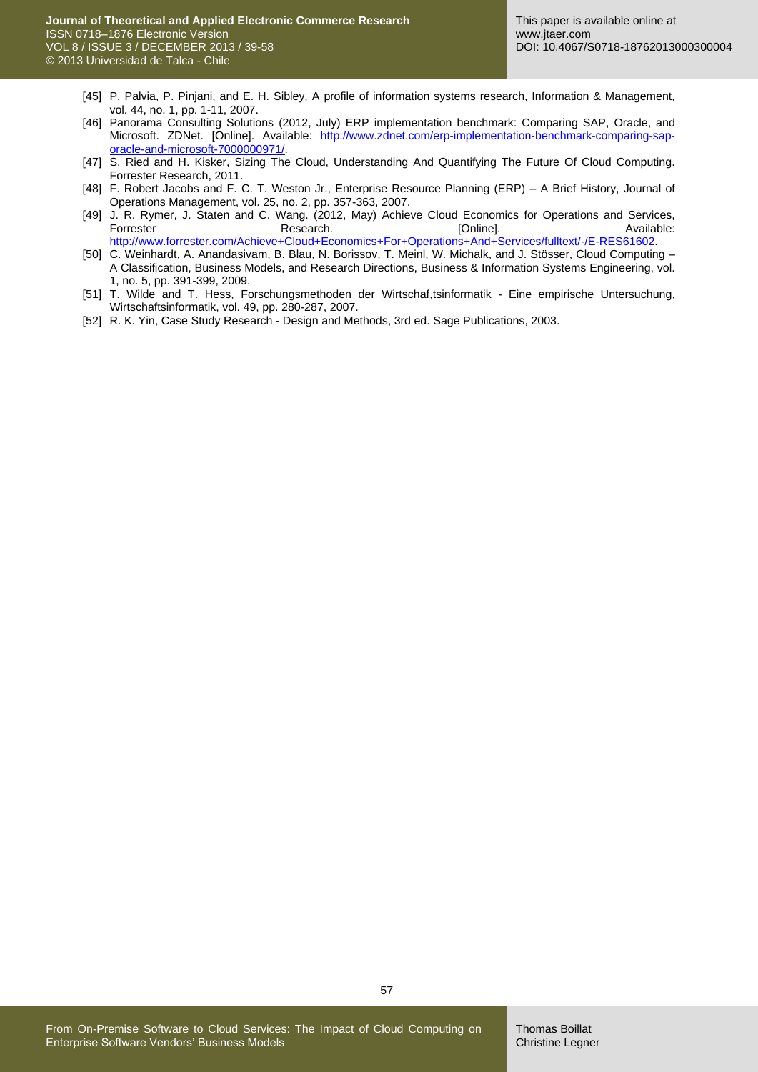- [45] P. Palvia, P. Pinjani, and E. H. Sibley, A profile of information systems research, Information & Management, vol. 44, no. 1, pp. 1-11, 2007.
- [46] Panorama Consulting Solutions (2012, July) ERP implementation benchmark: Comparing SAP, Oracle, and Microsoft. ZDNet. [Online]. Available: [http://www.zdnet.com/erp-implementation-benchmark-comparing-sap](http://www.zdnet.com/erp-implementation-benchmark-comparing-sap-oracle-and-microsoft-7000000971/)[oracle-and-microsoft-7000000971/.](http://www.zdnet.com/erp-implementation-benchmark-comparing-sap-oracle-and-microsoft-7000000971/)
- [47] S. Ried and H. Kisker, Sizing The Cloud, Understanding And Quantifying The Future Of Cloud Computing. Forrester Research, 2011.
- [48] F. Robert Jacobs and F. C. T. Weston Jr., Enterprise Resource Planning (ERP) A Brief History, Journal of Operations Management, vol. 25, no. 2, pp. 357-363, 2007.
- [49] J. R. Rymer, J. Staten and C. Wang. (2012, May) Achieve Cloud Economics for Operations and Services, Forrester **Research.** Research. **Example 20** For Example 20 Available: [http://www.forrester.com/Achieve+Cloud+Economics+For+Operations+And+Services/fulltext/-/E-RES61602.](http://www.forrester.com/Achieve+Cloud+Economics+For+Operations+And+Services/fulltext/-/E-RES61602)
- [50] C. Weinhardt, A. Anandasivam, B. Blau, N. Borissov, T. Meinl, W. Michalk, and J. Stösser, Cloud Computing A Classification, Business Models, and Research Directions, Business & Information Systems Engineering, vol. 1, no. 5, pp. 391-399, 2009.
- [51] T. Wilde and T. Hess, Forschungsmethoden der Wirtschaf,tsinformatik Eine empirische Untersuchung, Wirtschaftsinformatik, vol. 49, pp. 280-287, 2007.
- [52] R. K. Yin, Case Study Research Design and Methods, 3rd ed. Sage Publications, 2003.